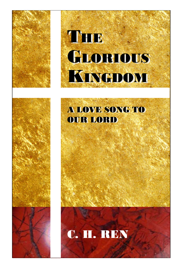

# THE GLORIOUS KINGDOM KINGDOM

# A LOVE SONG TO A LOVE SONG TO OUR LORD OUR LORD

# C. H. REN

 $11.11$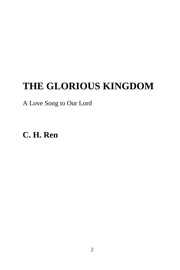# **THE GLORIOUS KINGDOM**

## A Love Song to Our Lord

**C. H. Ren**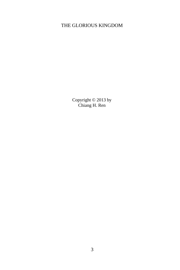#### THE GLORIOUS KINGDOM

Copyright © 2013 by Chiang H. Ren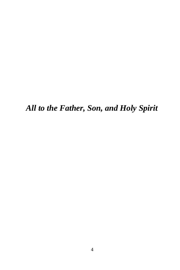*All to the Father, Son, and Holy Spirit*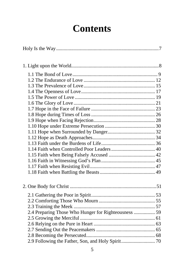# **Contents**

| 2.4 Preparing Those Who Hunger for Righteousness  59 |
|------------------------------------------------------|
|                                                      |
|                                                      |
|                                                      |
|                                                      |
|                                                      |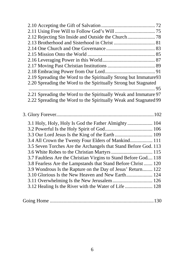| 2.19 Spreading the Word to the Spiritually Strong but Immature93 |  |
|------------------------------------------------------------------|--|
| 2.20 Spreading the Word to the Spiritually Strong but Stagnated  |  |
|                                                                  |  |
| 2.21 Spreading the Word to the Spiritually Weak and Immature 97  |  |
| 2.22 Spreading the Word to the Spiritually Weak and Stagnated 99 |  |
|                                                                  |  |
|                                                                  |  |
|                                                                  |  |
|                                                                  |  |
| 3.1 Holy, Holy, Holy Is God the Father Almighty  104             |  |
|                                                                  |  |
| 3.3 Our Lord Jesus Is the King of the Earth  109                 |  |
| 3.4 All Crown the Twenty Four Elders of Mankind 111              |  |
| 3.5 Seven Torches Are the Archangels that Stand Before God. 113  |  |
|                                                                  |  |
| 3.7 Faultless Are the Christian Virgins to Stand Before God 118  |  |
| 3.8 Fearless Are the Lampstands that Stand Before Christ 120     |  |
| 3.9 Wondrous Is the Rapture on the Day of Jesus' Return 122      |  |
| 3.10 Glorious Is the New Heaven and New Earth 124                |  |
| 3.11 Overwhelming Is the New Jerusalem 126                       |  |
| 3.12 Healing Is the River with the Water of Life  128            |  |

|--|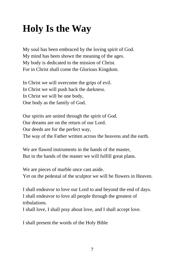# **Holy Is the Way**

My soul has been embraced by the loving spirit of God. My mind has been shown the meaning of the ages. My body is dedicated to the mission of Christ. For in Christ shall come the Glorious Kingdom.

In Christ we will overcome the grips of evil. In Christ we will push back the darkness. In Christ we will be one body, One body as the family of God.

Our spirits are united through the spirit of God. Our dreams are on the return of our Lord. Our deeds are for the perfect way, The way of the Father written across the heavens and the earth.

We are flawed instruments in the hands of the master, But in the hands of the master we will fulfill great plans.

We are pieces of marble once cast aside. Yet on the pedestal of the sculptor we will be flowers in Heaven.

I shall endeavor to love our Lord to and beyond the end of days. I shall endeavor to love all people through the greatest of tribulations.

I shall love, I shall pray about love, and I shall accept love.

I shall present the words of the Holy Bible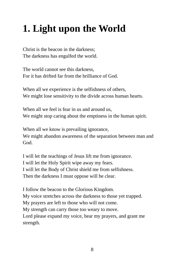# **1. Light upon the World**

Christ is the beacon in the darkness; The darkness has engulfed the world.

The world cannot see this darkness, For it has drifted far from the brilliance of God.

When all we experience is the selfishness of others, We might lose sensitivity to the divide across human hearts.

When all we feel is fear in us and around us, We might stop caring about the emptiness in the human spirit.

When all we know is prevailing ignorance, We might abandon awareness of the separation between man and God.

I will let the teachings of Jesus lift me from ignorance. I will let the Holy Spirit wipe away my fears. I will let the Body of Christ shield me from selfishness. Then the darkness I must oppose will be clear.

I follow the beacon to the Glorious Kingdom. My voice stretches across the darkness to those yet trapped. My prayers are left to those who will not come. My strength can carry those too weary to move. Lord please expand my voice, hear my prayers, and grant me strength.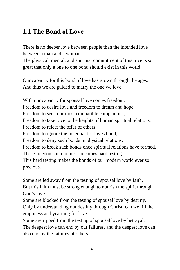#### **1.1 The Bond of Love**

There is no deeper love between people than the intended love between a man and a woman.

The physical, mental, and spiritual commitment of this love is so great that only a one to one bond should exist in this world.

Our capacity for this bond of love has grown through the ages, And thus we are guided to marry the one we love.

With our capacity for spousal love comes freedom, Freedom to desire love and freedom to dream and hope, Freedom to seek our most compatible companions, Freedom to take love to the heights of human spiritual relations, Freedom to reject the offer of others, Freedom to ignore the potential for loves bond, Freedom to deny such bonds in physical relations, Freedom to break such bonds once spiritual relations have formed. These freedoms in darkness becomes hard testing. This hard testing makes the bonds of our modern world ever so precious.

Some are led away from the testing of spousal love by faith, But this faith must be strong enough to nourish the spirit through God's love.

Some are blocked from the testing of spousal love by destiny. Only by understanding our destiny through Christ, can we fill the emptiness and yearning for love.

Some are ripped from the testing of spousal love by betrayal. The deepest love can end by our failures, and the deepest love can also end by the failures of others.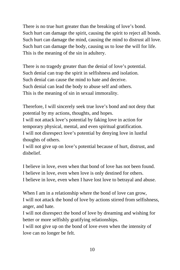There is no true hurt greater than the breaking of love's bond. Such hurt can damage the spirit, causing the spirit to reject all bonds. Such hurt can damage the mind, causing the mind to distrust all love. Such hurt can damage the body, causing us to lose the will for life. This is the meaning of the sin in adultery.

There is no tragedy greater than the denial of love's potential. Such denial can trap the spirit in selfishness and isolation. Such denial can cause the mind to hate and deceive. Such denial can lead the body to abuse self and others. This is the meaning of sin in sexual immorality.

Therefore, I will sincerely seek true love's bond and not deny that potential by my actions, thoughts, and hopes.

I will not attack love's potential by faking love in action for temporary physical, mental, and even spiritual gratification. I will not disrespect love's potential by denying love in lustful thoughts of others.

I will not give up on love's potential because of hurt, distrust, and disbelief.

I believe in love, even when that bond of love has not been found. I believe in love, even when love is only destined for others. I believe in love, even when I have lost love to betrayal and abuse.

When I am in a relationship where the bond of love can grow, I will not attack the bond of love by actions stirred from selfishness, anger, and hate.

I will not disrespect the bond of love by dreaming and wishing for better or more selfishly gratifying relationships.

I will not give up on the bond of love even when the intensity of love can no longer be felt.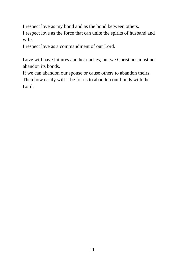I respect love as my bond and as the bond between others. I respect love as the force that can unite the spirits of husband and wife.

I respect love as a commandment of our Lord.

Love will have failures and heartaches, but we Christians must not abandon its bonds.

If we can abandon our spouse or cause others to abandon theirs, Then how easily will it be for us to abandon our bonds with the Lord.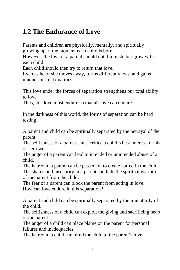### **1.2 The Endurance of Love**

Parents and children are physically, mentally, and spiritually growing apart the moment each child is born.

However, the love of a parent should not diminish, but grow with each child.

Each child should then try to return that love,

Even as he or she moves away, forms different views, and gains unique spiritual qualities.

This love under the forces of separation strengthens our total ability to love.

Thus, this love must endure so that all love can endure.

In the darkness of this world, the forms of separation can be hard testing.

A parent and child can be spiritually separated by the betrayal of the parent.

The selfishness of a parent can sacrifice a child's best interest for his or her own.

The anger of a parent can lead to intended or unintended abuse of a child.

The hatred in a parent can be passed on to create hatred in the child. The shame and insecurity in a parent can hide the spiritual warmth of the parent from the child.

The fear of a parent can block the parent from acting in love. How can love endure in this separation?

A parent and child can be spiritually separated by the immaturity of the child.

The selfishness of a child can exploit the giving and sacrificing heart of the parent.

The anger of a child can place blame on the parent for personal failures and inadequacies.

The hatred in a child can blind the child to the parent's love.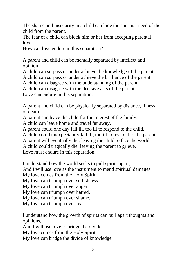The shame and insecurity in a child can hide the spiritual need of the child from the parent.

The fear of a child can block him or her from accepting parental love.

How can love endure in this separation?

A parent and child can be mentally separated by intellect and opinion.

A child can surpass or under achieve the knowledge of the parent. A child can surpass or under achieve the brilliance of the parent.

A child can disagree with the understanding of the parent.

A child can disagree with the decisive acts of the parent.

Love can endure in this separation.

A parent and child can be physically separated by distance, illness, or death.

A parent can leave the child for the interest of the family.

A child can leave home and travel far away.

A parent could one day fall ill, too ill to respond to the child.

A child could unexpectantly fall ill, too ill to respond to the parent.

A parent will eventually die, leaving the child to face the world.

A child could tragically die, leaving the parent to grieve.

Love must endure in this separation.

I understand how the world seeks to pull spirits apart,

And I will use love as the instrument to mend spiritual damages.

My love comes from the Holy Spirit.

My love can triumph over selfishness.

My love can triumph over anger.

My love can triumph over hatred.

My love can triumph over shame.

My love can triumph over fear.

I understand how the growth of spirits can pull apart thoughts and opinions,

And I will use love to bridge the divide.

My love comes from the Holy Spirit.

My love can bridge the divide of knowledge.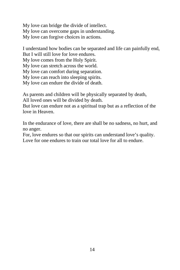My love can bridge the divide of intellect. My love can overcome gaps in understanding. My love can forgive choices in actions.

I understand how bodies can be separated and life can painfully end, But I will still love for love endures.

My love comes from the Holy Spirit.

My love can stretch across the world.

My love can comfort during separation.

My love can reach into sleeping spirits.

My love can endure the divide of death.

As parents and children will be physically separated by death, All loved ones will be divided by death.

But love can endure not as a spiritual trap but as a reflection of the love in Heaven.

In the endurance of love, there are shall be no sadness, no hurt, and no anger.

For, love endures so that our spirits can understand love's quality. Love for one endures to train our total love for all to endure.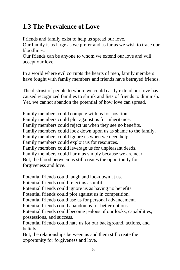## **1.3 The Prevalence of Love**

Friends and family exist to help us spread our love.

Our family is as large as we prefer and as far as we wish to trace our bloodlines.

Our friends can be anyone to whom we extend our love and will accept our love.

In a world where evil corrupts the hearts of men, family members have fought with family members and friends have betrayed friends.

The distrust of people to whom we could easily extend our love has caused recognized families to shrink and lists of friends to diminish. Yet, we cannot abandon the potential of how love can spread.

Family members could compete with us for position. Family members could plot against us for inheritance. Family members could reject us when they see no benefits. Family members could look down upon us as shame to the family. Family members could ignore us when we need help. Family members could exploit us for resources. Family members could leverage us for unpleasant deeds. Family members could harm us simply because we are near. But, the blood between us still creates the opportunity for forgiveness and love.

Potential friends could laugh and lookdown at us.

Potential friends could reject us as unfit.

Potential friends could ignore us as having no benefits.

Potential friends could plot against us in competition.

Potential friends could use us for personal advancement.

Potential friends could abandon us for better options.

Potential friends could become jealous of our looks, capabilities, possessions, and success.

Potential friends could hate us for our background, actions, and beliefs.

But, the relationships between us and them still create the opportunity for forgiveness and love.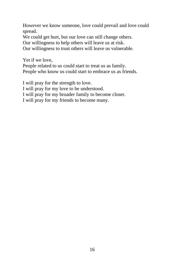However we know someone, love could prevail and love could spread.

We could get hurt, but our love can still change others.

Our willingness to help others will leave us at risk.

Our willingness to trust others will leave us vulnerable.

Yet if we love,

People related to us could start to treat us as family. People who know us could start to embrace us as friends.

I will pray for the strength to love.

I will pray for my love to be understood.

I will pray for my broader family to become closer.

I will pray for my friends to become many.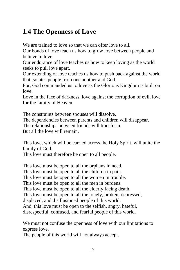#### **1.4 The Openness of Love**

We are trained to love so that we can offer love to all.

Our bonds of love teach us how to grow love between people and believe in love.

Our endurance of love teaches us how to keep loving as the world seeks to pull love apart.

Our extending of love teaches us how to push back against the world that isolates people from one another and God.

For, God commanded us to love as the Glorious Kingdom is built on love.

Love in the face of darkness, love against the corruption of evil, love for the family of Heaven.

The constraints between spouses will dissolve.

The dependencies between parents and children will disappear.

The relationships between friends will transform.

But all the love will remain.

This love, which will be carried across the Holy Spirit, will unite the family of God.

This love must therefore be open to all people.

This love must be open to all the orphans in need. This love must be open to all the children in pain. This love must be open to all the women in trouble. This love must be open to all the men in burdens. This love must be open to all the elderly facing death. This love must be open to all the lonely, broken, depressed, displaced, and disillusioned people of this world. And, this love must be open to the selfish, angry, hateful, disrespectful, confused, and fearful people of this world.

We must not confuse the openness of love with our limitations to express love.

The people of this world will not always accept.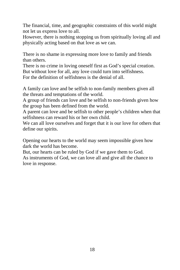The financial, time, and geographic constraints of this world might not let us express love to all.

However, there is nothing stopping us from spiritually loving all and physically acting based on that love as we can.

There is no shame in expressing more love to family and friends than others.

There is no crime in loving oneself first as God's special creation. But without love for all, any love could turn into selfishness. For the definition of selfishness is the denial of all.

A family can love and be selfish to non-family members given all the threats and temptations of the world.

A group of friends can love and be selfish to non-friends given how the group has been defined from the world.

A parent can love and be selfish to other people's children when that selfishness can reward his or her own child.

We can all love ourselves and forget that it is our love for others that define our spirits.

Opening our hearts to the world may seem impossible given how dark the world has become.

But, our hearts can be ruled by God if we gave them to God. As instruments of God, we can love all and give all the chance to love in response.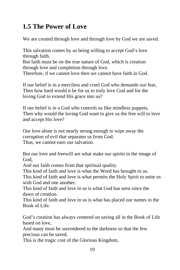# **1.5 The Power of Love**

We are created through love and through love by God we are saved.

This salvation comes by us being willing to accept God's love through faith.

But faith must be on the true nature of God, which is creation through love and completion through love.

Therefore, if we cannot love then we cannot have faith in God.

If our belief is in a merciless and cruel God who demands our fear, Then how hard would it be for us to truly love God and for the loving God to extend His grace into us?

If our belief is in a God who controls us like mindless puppets, Then why would the loving God want to give us the free will to love and accept His love?

Our love alone is not nearly strong enough to wipe away the corruption of evil that separates us from God.

Thus, we cannot earn our salvation.

But our love and freewill are what make our spirits in the image of God,

And our faith comes from that spiritual quality.

This kind of faith and love is what the Word has brought to us.

This kind of faith and love is what permits the Holy Spirit to unite us with God and one another.

This kind of faith and love in us is what God has seen since the dawn of creation.

This kind of faith and love in us is what has placed our names in the Book of Life.

God's creation has always centered on saving all in the Book of Life based on love,

And many must be surrendered to the darkness so that the few precious can be saved.

This is the tragic cost of the Glorious Kingdom,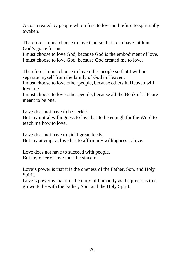A cost created by people who refuse to love and refuse to spiritually awaken.

Therefore, I must choose to love God so that I can have faith in God's grace for me.

I must choose to love God, because God is the embodiment of love. I must choose to love God, because God created me to love.

Therefore, I must choose to love other people so that I will not separate myself from the family of God in Heaven.

I must choose to love other people, because others in Heaven will love me.

I must choose to love other people, because all the Book of Life are meant to be one.

Love does not have to be perfect,

But my initial willingness to love has to be enough for the Word to teach me how to love.

Love does not have to yield great deeds, But my attempt at love has to affirm my willingness to love.

Love does not have to succeed with people, But my offer of love must be sincere.

Love's power is that it is the oneness of the Father, Son, and Holy Spirit.

Love's power is that it is the unity of humanity as the precious tree grown to be with the Father, Son, and the Holy Spirit.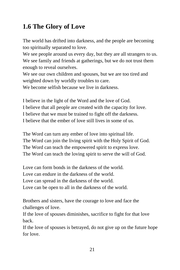# **1.6 The Glory of Love**

The world has drifted into darkness, and the people are becoming too spiritually separated to love.

We see people around us every day, but they are all strangers to us. We see family and friends at gatherings, but we do not trust them enough to reveal ourselves.

We see our own children and spouses, but we are too tired and weighted down by worldly troubles to care.

We become selfish because we live in darkness.

I believe in the light of the Word and the love of God. I believe that all people are created with the capacity for love. I believe that we must be trained to fight off the darkness. I believe that the ember of love still lives in some of us.

The Word can turn any ember of love into spiritual life. The Word can join the living spirit with the Holy Spirit of God. The Word can teach the empowered spirit to express love. The Word can teach the loving spirit to serve the will of God.

Love can form bonds in the darkness of the world. Love can endure in the darkness of the world. Love can spread in the darkness of the world. Love can be open to all in the darkness of the world.

Brothers and sisters, have the courage to love and face the challenges of love.

If the love of spouses diminishes, sacrifice to fight for that love back.

If the love of spouses is betrayed, do not give up on the future hope for love.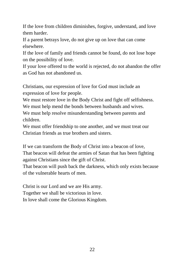If the love from children diminishes, forgive, understand, and love them harder.

If a parent betrays love, do not give up on love that can come elsewhere.

If the love of family and friends cannot be found, do not lose hope on the possibility of love.

If your love offered to the world is rejected, do not abandon the offer as God has not abandoned us.

Christians, our expression of love for God must include an expression of love for people.

We must restore love in the Body Christ and fight off selfishness.

We must help mend the bonds between husbands and wives.

We must help resolve misunderstanding between parents and children.

We must offer friendship to one another, and we must treat our Christian friends as true brothers and sisters.

If we can transform the Body of Christ into a beacon of love, That beacon will defeat the armies of Satan that has been fighting against Christians since the gift of Christ.

That beacon will push back the darkness, which only exists because of the vulnerable hearts of men.

Christ is our Lord and we are His army. Together we shall be victorious in love. In love shall come the Glorious Kingdom.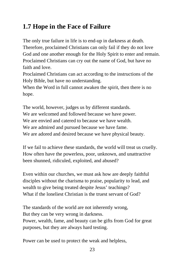# **1.7 Hope in the Face of Failure**

The only true failure in life is to end-up in darkness at death. Therefore, proclaimed Christians can only fail if they do not love God and one another enough for the Holy Spirit to enter and remain. Proclaimed Christians can cry out the name of God, but have no faith and love.

Proclaimed Christians can act according to the instructions of the Holy Bible, but have no understanding.

When the Word in full cannot awaken the spirit, then there is no hope.

The world, however, judges us by different standards. We are welcomed and followed because we have power. We are envied and catered to because we have wealth. We are admired and pursued because we have fame. We are adored and desired because we have physical beauty.

If we fail to achieve these standards, the world will treat us cruelly. How often have the powerless, poor, unknown, and unattractive been shunned, ridiculed, exploited, and abused?

Even within our churches, we must ask how are deeply faithful disciples without the charisma to praise, popularity to lead, and wealth to give being treated despite Jesus' teachings? What if the loneliest Christian is the truest servant of God?

The standards of the world are not inherently wrong, But they can be very wrong in darkness. Power, wealth, fame, and beauty can be gifts from God for great purposes, but they are always hard testing.

Power can be used to protect the weak and helpless,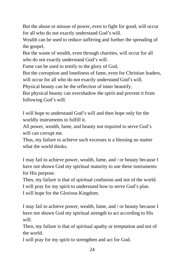But the abuse or misuse of power, even to fight for good, will occur for all who do not exactly understand God's will.

Wealth can be used to reduce suffering and further the spreading of the gospel,

But the waste of wealth, even through charities, will occur for all who do not exactly understand God's will.

Fame can be used to testify to the glory of God,

But the corruption and loneliness of fame, even for Christian leaders, will occur for all who do not exactly understand God's will.

Physical beauty can be the reflection of inner beautify,

But physical beauty can overshadow the spirit and prevent it from following God's will.

I will hope to understand God's will and then hope only for the worldly instruments to fulfill it.

All power, wealth, fame, and beauty not required to serve God's will can corrupt me.

Thus, my failure to achieve such excesses is a blessing no matter what the world thinks.

I may fail to achieve power, wealth, fame, and / or beauty because I have not shown God my spiritual maturity to use these instruments for His purpose.

Then, my failure is that of spiritual confusion and not of the world. I will pray for my spirit to understand how to serve God's plan. I will hope for the Glorious Kingdom.

I may fail to achieve power, wealth, fame, and / or beauty because I have not shown God my spiritual strength to act according to His will.

Then, my failure is that of spiritual apathy or temptation and not of the world.

I will pray for my spirit to strengthen and act for God.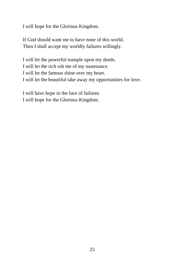I will hope for the Glorious Kingdom.

If God should want me to have none of this world, Then I shall accept my worldly failures willingly.

I will let the powerful trample upon my deeds. I will let the rich rob me of my sustenance. I will let the famous shine over my heart. I will let the beautiful take away my opportunities for love.

I will have hope in the face of failures. I will hope for the Glorious Kingdom.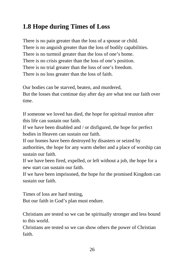# **1.8 Hope during Times of Loss**

There is no pain greater than the loss of a spouse or child. There is no anguish greater than the loss of bodily capabilities. There is no turmoil greater than the loss of one's home. There is no crisis greater than the loss of one's position. There is no trial greater than the loss of one's freedom. There is no loss greater than the loss of faith.

Our bodies can be starved, beaten, and murdered, But the losses that continue day after day are what test our faith over time.

If someone we loved has died, the hope for spiritual reunion after this life can sustain our faith.

If we have been disabled and / or disfigured, the hope for perfect bodies in Heaven can sustain our faith.

If our homes have been destroyed by disasters or seized by authorities, the hope for any warm shelter and a place of worship can sustain our faith.

If we have been fired, expelled, or left without a job, the hope for a new start can sustain our faith.

If we have been imprisoned, the hope for the promised Kingdom can sustain our faith.

Times of loss are hard testing,

But our faith in God's plan must endure.

Christians are tested so we can be spiritually stronger and less bound to this world.

Christians are tested so we can show others the power of Christian faith.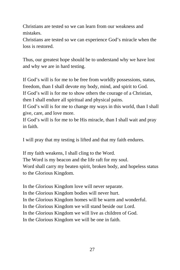Christians are tested so we can learn from our weakness and mistakes.

Christians are tested so we can experience God's miracle when the loss is restored.

Thus, our greatest hope should be to understand why we have lost and why we are in hard testing.

If God's will is for me to be free from worldly possessions, status, freedom, than I shall devote my body, mind, and spirit to God. If God's will is for me to show others the courage of a Christian, then I shall endure all spiritual and physical pains.

If God's will is for me to change my ways in this world, than I shall give, care, and love more.

If God's will is for me to be His miracle, than I shall wait and pray in faith.

I will pray that my testing is lifted and that my faith endures.

If my faith weakens, I shall cling to the Word. The Word is my beacon and the life raft for my soul. Word shall carry my beaten spirit, broken body, and hopeless status to the Glorious Kingdom.

In the Glorious Kingdom love will never separate. In the Glorious Kingdom bodies will never hurt. In the Glorious Kingdom homes will be warm and wonderful. In the Glorious Kingdom we will stand beside our Lord. In the Glorious Kingdom we will live as children of God. In the Glorious Kingdom we will be one in faith.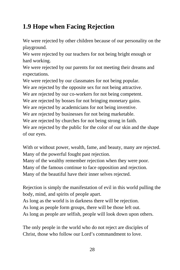# **1.9 Hope when Facing Rejection**

We were rejected by other children because of our personality on the playground.

We were rejected by our teachers for not being bright enough or hard working.

We were rejected by our parents for not meeting their dreams and expectations.

We were rejected by our classmates for not being popular.

We are rejected by the opposite sex for not being attractive.

We are rejected by our co-workers for not being competent.

We are rejected by bosses for not bringing monetary gains.

We are rejected by academicians for not being inventive.

We are rejected by businesses for not being marketable.

We are rejected by churches for not being strong in faith.

We are rejected by the public for the color of our skin and the shape of our eyes.

With or without power, wealth, fame, and beauty, many are rejected. Many of the powerful fought past rejection.

Many of the wealthy remember rejection when they were poor.

Many of the famous continue to face opposition and rejection.

Many of the beautiful have their inner selves rejected.

Rejection is simply the manifestation of evil in this world pulling the body, mind, and spirits of people apart.

As long as the world is in darkness there will be rejection.

As long as people form groups, there will be those left out.

As long as people are selfish, people will look down upon others.

The only people in the world who do not reject are disciples of Christ, those who follow our Lord's commandment to love.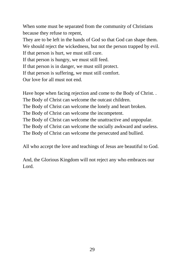When some must be separated from the community of Christians because they refuse to repent,

They are to be left in the hands of God so that God can shape them.

We should reject the wickedness, but not the person trapped by evil.

If that person is hurt, we must still cure.

If that person is hungry, we must still feed.

If that person is in danger, we must still protect.

If that person is suffering, we must still comfort.

Our love for all must not end.

Have hope when facing rejection and come to the Body of Christ. . The Body of Christ can welcome the outcast children.

The Body of Christ can welcome the lonely and heart broken.

The Body of Christ can welcome the incompetent.

The Body of Christ can welcome the unattractive and unpopular.

The Body of Christ can welcome the socially awkward and useless.

The Body of Christ can welcome the persecuted and bullied.

All who accept the love and teachings of Jesus are beautiful to God.

And, the Glorious Kingdom will not reject any who embraces our Lord.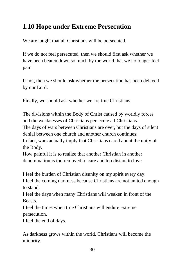## **1.10 Hope under Extreme Persecution**

We are taught that all Christians will be persecuted.

If we do not feel persecuted, then we should first ask whether we have been beaten down so much by the world that we no longer feel pain.

If not, then we should ask whether the persecution has been delayed by our Lord.

Finally, we should ask whether we are true Christians.

The divisions within the Body of Christ caused by worldly forces and the weaknesses of Christians persecute all Christians.

The days of wars between Christians are over, but the days of silent denial between one church and another church continues.

In fact, wars actually imply that Christians cared about the unity of the Body.

How painful it is to realize that another Christian in another denomination is too removed to care and too distant to love.

I feel the burden of Christian disunity on my spirit every day.

I feel the coming darkness because Christians are not united enough to stand.

I feel the days when many Christians will weaken in front of the Beasts.

I feel the times when true Christians will endure extreme persecution.

I feel the end of days.

As darkness grows within the world, Christians will become the minority.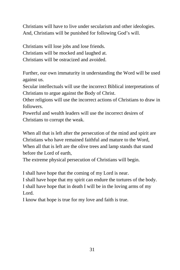Christians will have to live under secularism and other ideologies. And, Christians will be punished for following God's will.

Christians will lose jobs and lose friends. Christians will be mocked and laughed at. Christians will be ostracized and avoided.

Further, our own immaturity in understanding the Word will be used against us.

Secular intellectuals will use the incorrect Biblical interpretations of Christians to argue against the Body of Christ.

Other religions will use the incorrect actions of Christians to draw in followers.

Powerful and wealth leaders will use the incorrect desires of Christians to corrupt the weak.

When all that is left after the persecution of the mind and spirit are Christians who have remained faithful and mature to the Word, When all that is left are the olive trees and lamp stands that stand before the Lord of earth,

The extreme physical persecution of Christians will begin.

I shall have hope that the coming of my Lord is near.

I shall have hope that my spirit can endure the tortures of the body.

I shall have hope that in death I will be in the loving arms of my Lord.

I know that hope is true for my love and faith is true.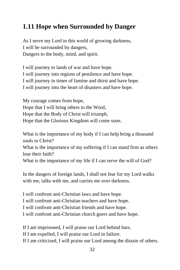## **1.11 Hope when Surrounded by Danger**

As I serve my Lord in this world of growing darkness, I will be surrounded by dangers, Dangers to the body, mind, and spirit.

I will journey to lands of war and have hope. I will journey into regions of pestilence and have hope. I will journey in times of famine and thirst and have hope. I will journey into the heart of disasters and have hope.

My courage comes from hope, Hope that I will bring others to the Word, Hope that the Body of Christ will triumph, Hope that the Glorious Kingdom will come soon.

What is the importance of my body if I can help bring a thousand souls to Christ?

What is the importance of my suffering if I can stand firm as others lose their faith?

What is the importance of my life if I can serve the will of God?

In the dangers of foreign lands, I shall not fear for my Lord walks with me, talks with me, and carries me over darkness.

I will confront anti-Christian laws and have hope. I will confront anti-Christian teachers and have hope. I will confront anti-Christian friends and have hope. I will confront anti-Christian church goers and have hope.

If I am imprisoned, I will praise our Lord behind bars. If I am expelled, I will praise our Lord in failure. If I am criticized, I will praise our Lord among the distain of others.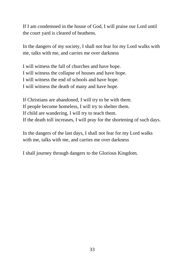If I am condemned in the house of God, I will praise our Lord until the court yard is cleared of heathens.

In the dangers of my society, I shall not fear for my Lord walks with me, talks with me, and carries me over darkness

I will witness the fall of churches and have hope. I will witness the collapse of houses and have hope. I will witness the end of schools and have hope. I will witness the death of many and have hope.

If Christians are abandoned, I will try to be with them. If people become homeless, I will try to shelter them. If child are wandering, I will try to teach them. If the death toll increases, I will pray for the shortening of such days.

In the dangers of the last days, I shall not fear for my Lord walks with me, talks with me, and carries me over darkness

I shall journey through dangers to the Glorious Kingdom.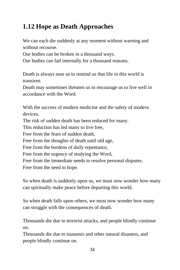# **1.12 Hope as Death Approaches**

We can each die suddenly at any moment without warning and without recourse.

Our bodies can be broken in a thousand ways.

Our bodies can fail internally for a thousand reasons.

Death is always near us to remind us that life in this world is transient.

Death may sometimes threaten us to encourage us to live well in accordance with the Word.

With the success of modern medicine and the safety of modern devices,

The risk of sudden death has been reduced for many.

This reduction has led many to live free,

Free from the fears of sudden death,

Free from the thoughts of death until old age,

Free from the burdens of daily repentance,

Free from the urgency of studying the Word,

Free from the immediate needs to resolve personal disputes.

Free from the need to hope.

So when death is suddenly upon us, we must now wonder how many can spiritually make peace before departing this world.

So when death falls upon others, we must now wonder how many can struggle with the consequences of death.

Thousands die due to terrorist attacks, and people blindly continue on.

Thousands die due to tsunamis and other natural disasters, and people blindly continue on.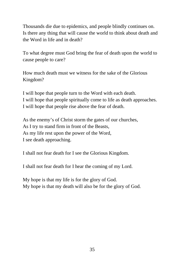Thousands die due to epidemics, and people blindly continues on. Is there any thing that will cause the world to think about death and the Word in life and in death?

To what degree must God bring the fear of death upon the world to cause people to care?

How much death must we witness for the sake of the Glorious Kingdom?

I will hope that people turn to the Word with each death. I will hope that people spiritually come to life as death approaches. I will hope that people rise above the fear of death.

As the enemy's of Christ storm the gates of our churches, As I try to stand firm in front of the Beasts, As my life rest upon the power of the Word, I see death approaching.

I shall not fear death for I see the Glorious Kingdom.

I shall not fear death for I hear the coming of my Lord.

My hope is that my life is for the glory of God. My hope is that my death will also be for the glory of God.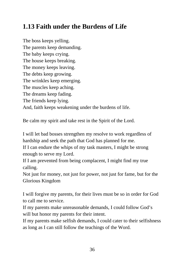## **1.13 Faith under the Burdens of Life**

The boss keeps yelling. The parents keep demanding. The baby keeps crying. The house keeps breaking. The money keeps leaving. The debts keep growing. The wrinkles keep emerging. The muscles keep aching. The dreams keep fading. The friends keep lying. And, faith keeps weakening under the burdens of life.

Be calm my spirit and take rest in the Spirit of the Lord.

I will let bad bosses strengthen my resolve to work regardless of hardship and seek the path that God has planned for me.

If I can endure the whips of my task masters, I might be strong enough to serve my Lord.

If I am prevented from being complacent, I might find my true calling.

Not just for money, not just for power, not just for fame, but for the Glorious Kingdom

I will forgive my parents, for their lives must be so in order for God to call me to service.

If my parents make unreasonable demands, I could follow God's will but honor my parents for their intent.

If my parents make selfish demands, I could cater to their selfishness as long as I can still follow the teachings of the Word.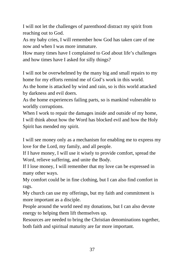I will not let the challenges of parenthood distract my spirit from reaching out to God.

As my baby cries, I will remember how God has taken care of me now and when I was more immature.

How many times have I complained to God about life's challenges and how times have I asked for silly things?

I will not be overwhelmed by the many big and small repairs to my home for my efforts remind me of God's work in this world.

As the home is attacked by wind and rain, so is this world attacked by darkness and evil doers.

As the home experiences failing parts, so is mankind vulnerable to worldly corruptions.

When I work to repair the damages inside and outside of my home, I will think about how the Word has blocked evil and how the Holy Spirit has mended my spirit.

I will see money only as a mechanism for enabling me to express my love for the Lord, my family, and all people.

If I have money, I will use it wisely to provide comfort, spread the Word, relieve suffering, and unite the Body.

If I lose money, I will remember that my love can be expressed in many other ways.

My comfort could be in fine clothing, but I can also find comfort in rags.

My church can use my offerings, but my faith and commitment is more important as a disciple.

People around the world need my donations, but I can also devote energy to helping them lift themselves up.

Resources are needed to bring the Christian denominations together, both faith and spiritual maturity are far more important.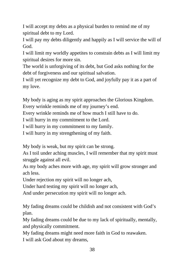I will accept my debts as a physical burden to remind me of my spiritual debt to my Lord.

I will pay my debts diligently and happily as I will service the will of God.

I will limit my worldly appetites to constrain debts as I will limit my spiritual desires for more sin.

The world is unforgiving of its debt, but God asks nothing for the debt of forgiveness and our spiritual salvation.

I will yet recognize my debt to God, and joyfully pay it as a part of my love.

My body is aging as my spirit approaches the Glorious Kingdom.

Every wrinkle reminds me of my journey's end.

Every wrinkle reminds me of how much I still have to do.

I will hurry in my commitment to the Lord.

I will hurry in my commitment to my family.

I will hurry in my strengthening of my faith.

My body is weak, but my spirit can be strong.

As I toil under aching muscles, I will remember that my spirit must struggle against all evil.

As my body aches more with age, my spirit will grow stronger and ach less.

Under rejection my spirit will no longer ach,

Under hard testing my spirit will no longer ach,

And under persecution my spirit will no longer ach.

My fading dreams could be childish and not consistent with God's plan.

My fading dreams could be due to my lack of spiritually, mentally, and physically commitment.

My fading dreams might need more faith in God to reawaken. I will ask God about my dreams,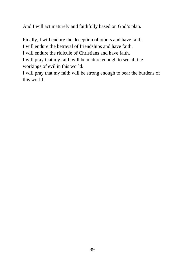And I will act maturely and faithfully based on God's plan.

Finally, I will endure the deception of others and have faith.

I will endure the betrayal of friendships and have faith.

I will endure the ridicule of Christians and have faith.

I will pray that my faith will be mature enough to see all the workings of evil in this world.

I will pray that my faith will be strong enough to bear the burdens of this world.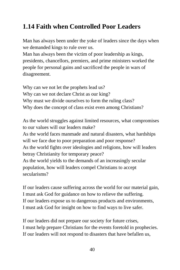## **1.14 Faith when Controlled Poor Leaders**

Man has always been under the yoke of leaders since the days when we demanded kings to rule over us.

Man has always been the victim of poor leadership as kings, presidents, chancellors, premiers, and prime ministers worked the people for personal gains and sacrificed the people in wars of disagreement.

Why can we not let the prophets lead us? Why can we not declare Christ as our king? Why must we divide ourselves to form the ruling class? Why does the concept of class exist even among Christians?

As the world struggles against limited resources, what compromises to our values will our leaders make?

As the world faces manmade and natural disasters, what hardships will we face due to poor preparation and poor response? As the world fights over ideologies and religions, how will leaders

betray Christianity for temporary peace?

As the world yields to the demands of an increasingly secular population, how will leaders compel Christians to accept secularisms?

If our leaders cause suffering across the world for our material gain, I must ask God for guidance on how to relieve the suffering. If our leaders expose us to dangerous products and environments, I must ask God for insight on how to find ways to live safer.

If our leaders did not prepare our society for future crises, I must help prepare Christians for the events foretold in prophecies. If our leaders will not respond to disasters that have befallen us,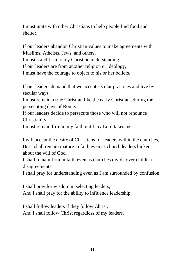I must unite with other Christians to help people find food and shelter.

If our leaders abandon Christian values to make agreements with Muslims, Atheists, Jews, and others,

I must stand firm to my Christian understanding.

If our leaders are from another religion or ideology,

I must have the courage to object to his or her beliefs.

If our leaders demand that we accept secular practices and live by secular ways,

I must remain a true Christian like the early Christians during the persecuting days of Rome.

If our leaders decide to persecute those who will not renounce Christianity,

I must remain firm in my faith until my Lord takes me.

I will accept the desire of Christians for leaders within the churches, But I shall remain mature in faith even as church leaders bicker about the will of God.

I shall remain firm in faith even as churches divide over childish disagreements.

I shall pray for understanding even as I am surrounded by confusion.

I shall pray for wisdom in selecting leaders, And I shall pray for the ability to influence leadership.

I shall follow leaders if they follow Christ, And I shall follow Christ regardless of my leaders.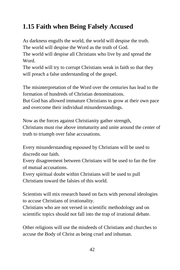# **1.15 Faith when Being Falsely Accused**

As darkness engulfs the world, the world will despise the truth. The world will despise the Word as the truth of God.

The world will despise all Christians who live by and spread the Word.

The world will try to corrupt Christians weak in faith so that they will preach a false understanding of the gospel.

The misinterpretation of the Word over the centuries has lead to the formation of hundreds of Christian denominations.

But God has allowed immature Christians to grow at their own pace and overcome their individual misunderstandings.

Now as the forces against Christianity gather strength, Christians must rise above immaturity and unite around the center of truth to triumph over false accusations.

Every misunderstanding espoused by Christians will be used to discredit our faith.

Every disagreement between Christians will be used to fan the fire of mutual accusations.

Every spiritual doubt within Christians will be used to pull Christians toward the falsies of this world.

Scientists will mix research based on facts with personal ideologies to accuse Christians of irrationality.

Christians who are not versed in scientific methodology and on scientific topics should not fall into the trap of irrational debate.

Other religions will use the misdeeds of Christians and churches to accuse the Body of Christ as being cruel and inhuman.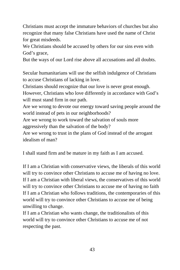Christians must accept the immature behaviors of churches but also recognize that many false Christians have used the name of Christ for great misdeeds.

We Christians should be accused by others for our sins even with God's grace,

But the ways of our Lord rise above all accusations and all doubts.

Secular humanitarians will use the selfish indulgence of Christians to accuse Christians of lacking in love.

Christians should recognize that our love is never great enough.

However, Christians who love differently in accordance with God's will must stand firm in our path.

Are we wrong to devote our energy toward saving people around the world instead of pets in our neighborhoods?

Are we wrong to work toward the salvation of souls more

aggressively than the salvation of the body?

Are we wrong to trust in the plans of God instead of the arrogant idealism of man?

I shall stand firm and be mature in my faith as I am accused.

If I am a Christian with conservative views, the liberals of this world will try to convince other Christians to accuse me of having no love. If I am a Christian with liberal views, the conservatives of this world will try to convince other Christians to accuse me of having no faith If I am a Christian who follows traditions, the contemporaries of this world will try to convince other Christians to accuse me of being unwilling to change.

If I am a Christian who wants change, the traditionalists of this world will try to convince other Christians to accuse me of not respecting the past.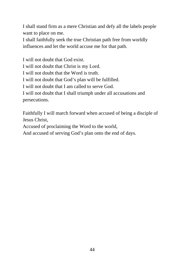I shall stand firm as a mere Christian and defy all the labels people want to place on me.

I shall faithfully seek the true Christian path free from worldly influences and let the world accuse me for that path.

I will not doubt that God exist. I will not doubt that Christ is my Lord. I will not doubt that the Word is truth. I will not doubt that God's plan will be fulfilled. I will not doubt that I am called to serve God. I will not doubt that I shall triumph under all accusations and persecutions.

Faithfully I will march forward when accused of being a disciple of Jesus Christ,

Accused of proclaiming the Word to the world,

And accused of serving God's plan onto the end of days.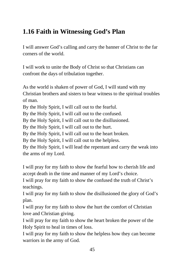#### **1.16 Faith in Witnessing God's Plan**

I will answer God's calling and carry the banner of Christ to the far corners of the world.

I will work to unite the Body of Christ so that Christians can confront the days of tribulation together.

As the world is shaken of power of God, I will stand with my Christian brothers and sisters to bear witness to the spiritual troubles of man.

By the Holy Spirit, I will call out to the fearful.

By the Holy Spirit, I will call out to the confused.

By the Holy Spirit, I will call out to the disillusioned.

By the Holy Spirit, I will call out to the hurt.

By the Holy Spirit, I will call out to the heart broken.

By the Holy Spirit, I will call out to the helpless.

By the Holy Spirit, I will lead the repentant and carry the weak into the arms of my Lord.

I will pray for my faith to show the fearful how to cherish life and accept death in the time and manner of my Lord's choice.

I will pray for my faith to show the confused the truth of Christ's teachings.

I will pray for my faith to show the disillusioned the glory of God's plan.

I will pray for my faith to show the hurt the comfort of Christian love and Christian giving.

I will pray for my faith to show the heart broken the power of the Holy Spirit to heal in times of loss.

I will pray for my faith to show the helpless how they can become warriors in the army of God.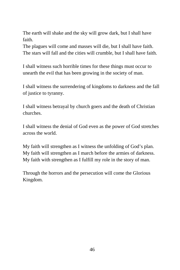The earth will shake and the sky will grow dark, but I shall have faith.

The plagues will come and masses will die, but I shall have faith. The stars will fall and the cities will crumble, but I shall have faith.

I shall witness such horrible times for these things must occur to unearth the evil that has been growing in the society of man.

I shall witness the surrendering of kingdoms to darkness and the fall of justice to tyranny.

I shall witness betrayal by church goers and the death of Christian churches.

I shall witness the denial of God even as the power of God stretches across the world.

My faith will strengthen as I witness the unfolding of God's plan. My faith will strengthen as I march before the armies of darkness. My faith with strengthen as I fulfill my role in the story of man.

Through the horrors and the persecution will come the Glorious Kingdom.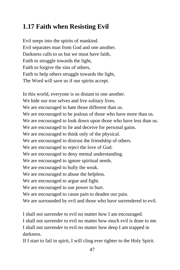## **1.17 Faith when Resisting Evil**

Evil seeps into the spirits of mankind. Evil separates man from God and one another. Darkness calls to us but we must have faith, Faith to struggle towards the light, Faith to forgive the sins of others, Faith to help others struggle towards the light, The Word will save us if our spirits accept.

In this world, everyone is so distant to one another. We hide our true selves and live solitary lives. We are encouraged to hate those different than us. We are encouraged to be jealous of those who have more than us. We are encouraged to look down upon those who have less than us. We are encouraged to lie and deceive for personal gains. We are encouraged to think only of the physical. We are encouraged to distrust the friendship of others. We are encouraged to reject the love of God. We are encouraged to deny mental understanding. We are encouraged to ignore spiritual needs. We are encouraged to bully the weak. We are encouraged to abuse the helpless. We are encouraged to argue and fight. We are encouraged to use power to hurt. We are encouraged to cause pain to deaden our pain. We are surrounded by evil and those who have surrendered to evil.

I shall not surrender to evil no matter how I am encouraged.

I shall not surrender to evil no matter how much evil is done to me.

I shall not surrender to evil no matter how deep I am trapped in darkness.

If I start to fail in spirit, I will cling ever tighter to the Holy Spirit.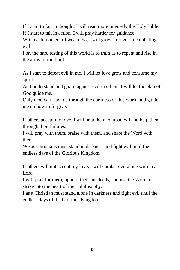If I start to fail in thought, I will read more intensely the Holy Bible. If I start to fail in action, I will pray harder for guidance.

With each moment of weakness, I will grow stronger in combating evil.

For, the hard testing of this world is to train us to repent and rise in the army of the Lord.

As I start to defeat evil in me, I will let love grow and consume my spirit.

As I understand and guard against evil in others, I will let the plan of God guide me.

Only God can lead me through the darkness of this world and guide me on how to forgive.

If others accept my love, I will help them combat evil and help them through their failures.

I will pray with them, praise with them, and share the Word with them.

We as Christians must stand in darkness and fight evil until the endless days of the Glorious Kingdom.

If others will not accept my love, I will combat evil alone with my Lord.

I will pray for them, oppose their misdeeds, and use the Word to strike into the heart of their philosophy.

I as a Christian must stand alone in darkness and fight evil until the endless days of the Glorious Kingdom.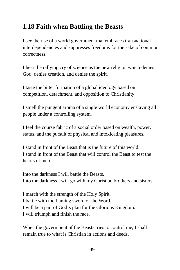#### **1.18 Faith when Battling the Beasts**

I see the rise of a world government that embraces transnational interdependencies and suppresses freedoms for the sake of common correctness.

I hear the rallying cry of science as the new religion which denies God, denies creation, and denies the spirit.

I taste the bitter formation of a global ideology based on competition, detachment, and opposition to Christianity

I smell the pungent aroma of a single world economy enslaving all people under a controlling system.

I feel the course fabric of a social order based on wealth, power, status, and the pursuit of physical and intoxicating pleasures.

I stand in front of the Beast that is the future of this world. I stand in front of the Beast that will control the Beast to test the hearts of men.

Into the darkness I will battle the Beasts. Into the darkness I will go with my Christian brothers and sisters.

I march with the strength of the Holy Spirit. I battle with the flaming sword of the Word. I will be a part of God's plan for the Glorious Kingdom. I will triumph and finish the race.

When the government of the Beasts tries to control me, I shall remain true to what is Christian in actions and deeds.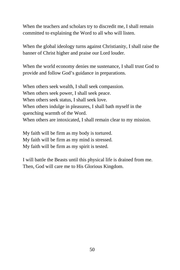When the teachers and scholars try to discredit me, I shall remain committed to explaining the Word to all who will listen.

When the global ideology turns against Christianity, I shall raise the banner of Christ higher and praise our Lord louder.

When the world economy denies me sustenance, I shall trust God to provide and follow God's guidance in preparations.

When others seek wealth, I shall seek compassion. When others seek power, I shall seek peace. When others seek status, I shall seek love. When others indulge in pleasures, I shall bath myself in the quenching warmth of the Word. When others are intoxicated, I shall remain clear to my mission.

My faith will be firm as my body is tortured. My faith will be firm as my mind is stressed. My faith will be firm as my spirit is tested.

I will battle the Beasts until this physical life is drained from me. Then, God will care me to His Glorious Kingdom.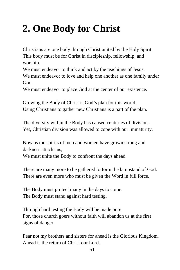# **2. One Body for Christ**

Christians are one body through Christ united by the Holy Spirit. This body must be for Christ in discipleship, fellowship, and worship.

We must endeavor to think and act by the teachings of Jesus. We must endeavor to love and help one another as one family under God.

We must endeavor to place God at the center of our existence.

Growing the Body of Christ is God's plan for this world. Using Christians to gather new Christians is a part of the plan.

The diversity within the Body has caused centuries of division. Yet, Christian division was allowed to cope with our immaturity.

Now as the spirits of men and women have grown strong and darkness attacks us,

We must unite the Body to confront the days ahead.

There are many more to be gathered to form the lampstand of God. There are even more who must be given the Word in full force.

The Body must protect many in the days to come. The Body must stand against hard testing.

Through hard testing the Body will be made pure. For, those church goers without faith will abandon us at the first signs of danger.

Fear not my brothers and sisters for ahead is the Glorious Kingdom. Ahead is the return of Christ our Lord.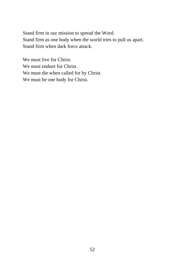Stand firm in our mission to spread the Word. Stand firm as one body when the world tries to pull us apart. Stand firm when dark force attack.

We must live for Christ. We must endure for Christ. We must die when called for by Christ. We must be one body for Christ.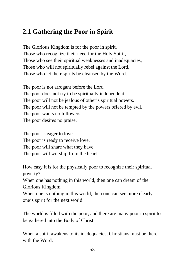#### **2.1 Gathering the Poor in Spirit**

The Glorious Kingdom is for the poor in spirit, Those who recognize their need for the Holy Spirit, Those who see their spiritual weaknesses and inadequacies, Those who will not spiritually rebel against the Lord, Those who let their spirits be cleansed by the Word.

The poor is not arrogant before the Lord. The poor does not try to be spiritually independent. The poor will not be jealous of other's spiritual powers. The poor will not be tempted by the powers offered by evil. The poor wants no followers. The poor desires no praise.

The poor is eager to love. The poor is ready to receive love. The poor will share what they have. The poor will worship from the heart.

How easy it is for the physically poor to recognize their spiritual poverty?

When one has nothing in this world, then one can dream of the Glorious Kingdom.

When one is nothing in this world, then one can see more clearly one's spirit for the next world.

The world is filled with the poor, and there are many poor in spirit to be gathered into the Body of Christ.

When a spirit awakens to its inadequacies, Christians must be there with the Word.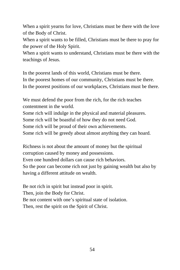When a spirit yearns for love, Christians must be there with the love of the Body of Christ.

When a spirit wants to be filled, Christians must be there to pray for the power of the Holy Spirit.

When a spirit wants to understand, Christians must be there with the teachings of Jesus.

In the poorest lands of this world, Christians must be there. In the poorest homes of our community, Christians must be there. In the poorest positions of our workplaces, Christians must be there.

We must defend the poor from the rich, for the rich teaches contentment in the world.

Some rich will indulge in the physical and material pleasures.

Some rich will be boastful of how they do not need God.

Some rich will be proud of their own achievements.

Some rich will be greedy about almost anything they can hoard.

Richness is not about the amount of money but the spiritual corruption caused by money and possessions. Even one hundred dollars can cause rich behaviors. So the poor can become rich not just by gaining wealth but also by having a different attitude on wealth.

Be not rich in spirit but instead poor in spirit. Then, join the Body for Christ. Be not content with one's spiritual state of isolation. Then, rest the spirit on the Spirit of Christ.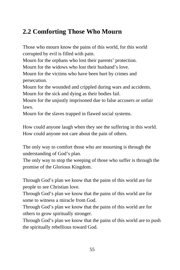### **2.2 Comforting Those Who Mourn**

Those who mourn know the pains of this world, for this world corrupted by evil is filled with pain.

Mourn for the orphans who lost their parents' protection.

Mourn for the widows who lost their husband's love.

Mourn for the victims who have been hurt by crimes and persecution.

Mourn for the wounded and crippled during wars and accidents. Mourn for the sick and dying as their bodies fail.

Mourn for the unjustly imprisoned due to false accusers or unfair laws.

Mourn for the slaves trapped in flawed social systems.

How could anyone laugh when they see the suffering in this world. How could anyone not care about the pain of others.

The only way to comfort those who are mourning is through the understanding of God's plan.

The only way to stop the weeping of those who suffer is through the promise of the Glorious Kingdom.

Through God's plan we know that the pains of this world are for people to see Christian love.

Through God's plan we know that the pains of this world are for some to witness a miracle from God.

Through God's plan we know that the pains of this world are for others to grow spiritually stronger.

Through God's plan we know that the pains of this world are to push the spiritually rebellious toward God.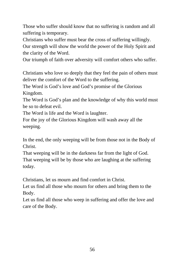Those who suffer should know that no suffering is random and all suffering is temporary.

Christians who suffer must bear the cross of suffering willingly.

Our strength will show the world the power of the Holy Spirit and the clarity of the Word.

Our triumph of faith over adversity will comfort others who suffer.

Christians who love so deeply that they feel the pain of others must deliver the comfort of the Word to the suffering.

The Word is God's love and God's promise of the Glorious Kingdom.

The Word is God's plan and the knowledge of why this world must be so to defeat evil.

The Word is life and the Word is laughter.

For the joy of the Glorious Kingdom will wash away all the weeping.

In the end, the only weeping will be from those not in the Body of Christ.

That weeping will be in the darkness far from the light of God. That weeping will be by those who are laughing at the suffering today.

Christians, let us mourn and find comfort in Christ.

Let us find all those who mourn for others and bring them to the Body.

Let us find all those who weep in suffering and offer the love and care of the Body.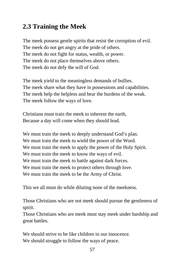## **2.3 Training the Meek**

The meek possess gentle spirits that resist the corruption of evil. The meek do not get angry at the pride of others. The meek do not fight for status, wealth, or power. The meek do not place themselves above others. The meek do not defy the will of God.

The meek yield to the meaningless demands of bullies. The meek share what they have in possessions and capabilities. The meek help the helpless and bear the burdens of the weak. The meek follow the ways of love.

Christians must train the meek to inherent the earth, Because a day will come when they should lead.

We must train the meek to deeply understand God's plan. We must train the meek to wield the power of the Word. We must train the meek to apply the power of the Holy Spirit. We must train the meek to know the ways of evil. We must train the meek to battle against dark forces. We must train the meek to protect others through love. We must train the meek to be the Army of Christ.

This we all must do while diluting none of the meekness.

Those Christians who are not meek should pursue the gentleness of spirit.

Those Christians who are meek must stay meek under hardship and great battles.

We should strive to be like children in our innocence. We should struggle to follow the ways of peace.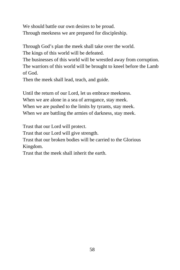We should battle our own desires to be proud. Through meekness we are prepared for discipleship.

Through God's plan the meek shall take over the world.

The kings of this world will be defeated.

The businesses of this world will be wrestled away from corruption. The warriors of this world will be brought to kneel before the Lamb of God.

Then the meek shall lead, teach, and guide.

Until the return of our Lord, let us embrace meekness. When we are alone in a sea of arrogance, stay meek. When we are pushed to the limits by tyrants, stay meek. When we are battling the armies of darkness, stay meek.

Trust that our Lord will protect.

Trust that our Lord will give strength.

Trust that our broken bodies will be carried to the Glorious Kingdom.

Trust that the meek shall inherit the earth.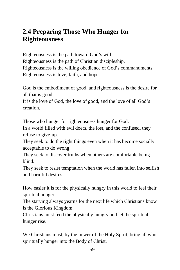#### **2.4 Preparing Those Who Hunger for Righteousness**

Righteousness is the path toward God's will. Righteousness is the path of Christian discipleship. Righteousness is the willing obedience of God's commandments. Righteousness is love, faith, and hope.

God is the embodiment of good, and righteousness is the desire for all that is good.

It is the love of God, the love of good, and the love of all God's creation.

Those who hunger for righteousness hunger for God.

In a world filled with evil doers, the lost, and the confused, they refuse to give-up.

They seek to do the right things even when it has become socially acceptable to do wrong.

They seek to discover truths when others are comfortable being blind.

They seek to resist temptation when the world has fallen into selfish and harmful desires.

How easier it is for the physically hungry in this world to feel their spiritual hunger.

The starving always yearns for the next life which Christians know is the Glorious Kingdom.

Christians must feed the physically hungry and let the spiritual hunger rise.

We Christians must, by the power of the Holy Spirit, bring all who spiritually hunger into the Body of Christ.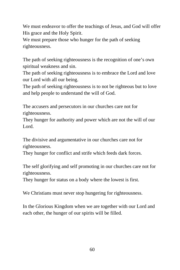We must endeavor to offer the teachings of Jesus, and God will offer His grace and the Holy Spirit.

We must prepare those who hunger for the path of seeking righteousness.

The path of seeking righteousness is the recognition of one's own spiritual weakness and sin.

The path of seeking righteousness is to embrace the Lord and love our Lord with all our being.

The path of seeking righteousness is to not be righteous but to love and help people to understand the will of God.

The accusers and persecutors in our churches care not for righteousness.

They hunger for authority and power which are not the will of our Lord.

The divisive and argumentative in our churches care not for righteousness.

They hunger for conflict and strife which feeds dark forces.

The self glorifying and self promoting in our churches care not for righteousness.

They hunger for status on a body where the lowest is first.

We Christians must never stop hungering for righteousness.

In the Glorious Kingdom when we are together with our Lord and each other, the hunger of our spirits will be filled.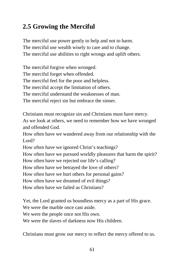## **2.5 Growing the Merciful**

The merciful use power gently to help and not to harm. The merciful use wealth wisely to care and to change. The merciful use abilities to right wrongs and uplift others.

The merciful forgive when wronged. The merciful forget when offended. The merciful feel for the poor and helpless. The merciful accept the limitation of others. The merciful understand the weaknesses of man. The merciful reject sin but embrace the sinner.

Christians must recognize sin and Christians must have mercy.

As we look at others, we need to remember how we have wronged and offended God.

How often have we wandered away from our relationship with the Lord?

How often have we ignored Christ's teachings?

How often have we pursued worldly pleasures that harm the spirit?

How often have we rejected our life's calling?

How often have we betrayed the love of others?

How often have we hurt others for personal gains?

How often have we dreamed of evil things?

How often have we failed as Christians?

Yet, the Lord granted us boundless mercy as a part of His grace.

We were the marble once cast aside.

We were the people once not His own.

We were the slaves of darkness now His children.

Christians must grow our mercy to reflect the mercy offered to us.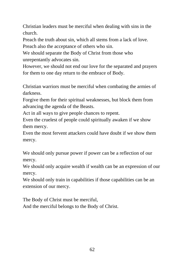Christian leaders must be merciful when dealing with sins in the church.

Preach the truth about sin, which all stems from a lack of love.

Preach also the acceptance of others who sin.

We should separate the Body of Christ from those who unrepentantly advocates sin.

However, we should not end our love for the separated and prayers for them to one day return to the embrace of Body.

Christian warriors must be merciful when combating the armies of darkness.

Forgive them for their spiritual weaknesses, but block them from advancing the agenda of the Beasts.

Act in all ways to give people chances to repent.

Even the cruelest of people could spiritually awaken if we show them mercy.

Even the most fervent attackers could have doubt if we show them mercy.

We should only pursue power if power can be a reflection of our mercy.

We should only acquire wealth if wealth can be an expression of our mercy.

We should only train in capabilities if those capabilities can be an extension of our mercy.

The Body of Christ must be merciful,

And the merciful belongs to the Body of Christ.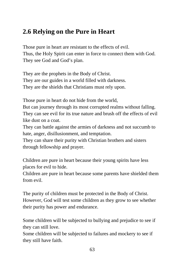#### **2.6 Relying on the Pure in Heart**

Those pure in heart are resistant to the effects of evil. Thus, the Holy Spirit can enter in force to connect them with God. They see God and God's plan.

They are the prophets in the Body of Christ. They are our guides in a world filled with darkness. They are the shields that Christians must rely upon.

Those pure in heart do not hide from the world,

But can journey through its most corrupted realms without falling. They can see evil for its true nature and brush off the effects of evil like dust on a coat.

They can battle against the armies of darkness and not succumb to hate, anger, disillusionment, and temptation.

They can share their purity with Christian brothers and sisters through fellowship and prayer.

Children are pure in heart because their young spirits have less places for evil to hide.

Children are pure in heart because some parents have shielded them from evil.

The purity of children must be protected in the Body of Christ. However, God will test some children as they grow to see whether their purity has power and endurance.

Some children will be subjected to bullying and prejudice to see if they can still love.

Some children will be subjected to failures and mockery to see if they still have faith.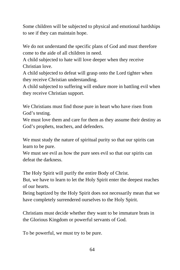Some children will be subjected to physical and emotional hardships to see if they can maintain hope.

We do not understand the specific plans of God and must therefore come to the aide of all children in need.

A child subjected to hate will love deeper when they receive Christian love.

A child subjected to defeat will grasp onto the Lord tighter when they receive Christian understanding.

A child subjected to suffering will endure more in battling evil when they receive Christian support.

We Christians must find those pure in heart who have risen from God's testing.

We must love them and care for them as they assume their destiny as God's prophets, teachers, and defenders.

We must study the nature of spiritual purity so that our spirits can learn to be pure.

We must see evil as how the pure sees evil so that our spirits can defeat the darkness.

The Holy Spirit will purify the entire Body of Christ.

But, we have to learn to let the Holy Spirit enter the deepest reaches of our hearts.

Being baptized by the Holy Spirit does not necessarily mean that we have completely surrendered ourselves to the Holy Spirit.

Christians must decide whether they want to be immature brats in the Glorious Kingdom or powerful servants of God.

To be powerful, we must try to be pure.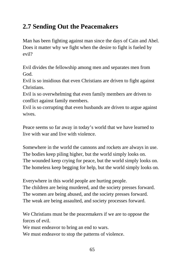# **2.7 Sending Out the Peacemakers**

Man has been fighting against man since the days of Cain and Abel. Does it matter why we fight when the desire to fight is fueled by evil?

Evil divides the fellowship among men and separates men from God.

Evil is so insidious that even Christians are driven to fight against Christians.

Evil is so overwhelming that even family members are driven to conflict against family members.

Evil is so corrupting that even husbands are driven to argue against wives.

Peace seems so far away in today's world that we have learned to live with war and live with violence.

Somewhere in the world the cannons and rockets are always in use. The bodies keep piling higher, but the world simply looks on. The wounded keep crying for peace, but the world simply looks on. The homeless keep begging for help, but the world simply looks on.

Everywhere in this world people are hurting people. The children are being murdered, and the society presses forward. The women are being abused, and the society presses forward. The weak are being assaulted, and society processes forward.

We Christians must be the peacemakers if we are to oppose the forces of evil.

We must endeavor to bring an end to wars.

We must endeavor to stop the patterns of violence.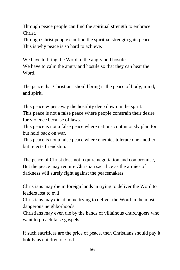Through peace people can find the spiritual strength to embrace Christ.

Through Christ people can find the spiritual strength gain peace. This is why peace is so hard to achieve.

We have to bring the Word to the angry and hostile. We have to calm the angry and hostile so that they can hear the Word.

The peace that Christians should bring is the peace of body, mind, and spirit.

This peace wipes away the hostility deep down in the spirit. This peace is not a false peace where people constrain their desire for violence because of laws.

This peace is not a false peace where nations continuously plan for but hold back on war.

This peace is not a false peace where enemies tolerate one another but rejects friendship.

The peace of Christ does not require negotiation and compromise, But the peace may require Christian sacrifice as the armies of darkness will surely fight against the peacemakers.

Christians may die in foreign lands in trying to deliver the Word to leaders lost to evil.

Christians may die at home trying to deliver the Word in the most dangerous neighborhoods.

Christians may even die by the hands of villainous churchgoers who want to preach false gospels.

If such sacrifices are the price of peace, then Christians should pay it boldly as children of God.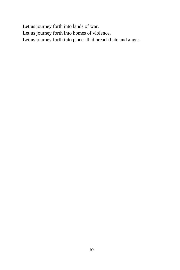Let us journey forth into lands of war.

Let us journey forth into homes of violence.

Let us journey forth into places that preach hate and anger.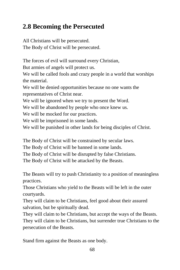#### **2.8 Becoming the Persecuted**

All Christians will be persecuted. The Body of Christ will be persecuted.

The forces of evil will surround every Christian, But armies of angels will protect us.

We will be called fools and crazy people in a world that worships the material.

We will be denied opportunities because no one wants the representatives of Christ near.

We will be ignored when we try to present the Word.

We will be abandoned by people who once knew us.

We will be mocked for our practices.

We will be imprisoned in some lands.

We will be punished in other lands for being disciples of Christ.

The Body of Christ will be constrained by secular laws.

The Body of Christ will be banned in some lands.

The Body of Christ will be disrupted by false Christians.

The Body of Christ will be attacked by the Beasts.

The Beasts will try to push Christianity to a position of meaningless practices.

Those Christians who yield to the Beasts will be left in the outer courtyards.

They will claim to be Christians, feel good about their assured salvation, but be spiritually dead.

They will claim to be Christians, but accept the ways of the Beasts. They will claim to be Christians, but surrender true Christians to the persecution of the Beasts.

Stand firm against the Beasts as one body.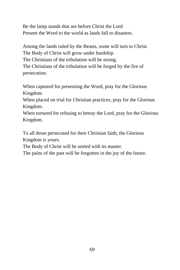Be the lamp stands that are before Christ the Lord Present the Word to the world as lands fall to disasters.

Among the lands ruled by the Beasts, some will turn to Christ. The Body of Christ will grow under hardship. The Christians of the tribulation will be strong. The Christians of the tribulation will be forged by the fire of persecution.

When captured for presenting the Word, pray for the Glorious Kingdom.

When placed on trial for Christian practices, pray for the Glorious Kingdom.

When tortured for refusing to betray the Lord, pray for the Glorious Kingdom.

To all those persecuted for their Christian faith, the Glorious Kingdom is yours.

The Body of Christ will be united with its master.

The pains of the past will be forgotten in the joy of the future.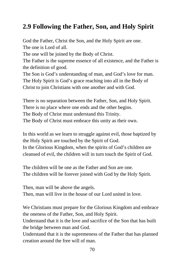#### **2.9 Following the Father, Son, and Holy Spirit**

God the Father, Christ the Son, and the Holy Spirit are one. The one is Lord of all. The one will be joined by the Body of Christ.

The Father is the supreme essence of all existence, and the Father is the definition of good.

The Son is God's understanding of man, and God's love for man. The Holy Spirit is God's grace reaching into all in the Body of Christ to join Christians with one another and with God.

There is no separation between the Father, Son, and Holy Spirit. There is no place where one ends and the other begins. The Body of Christ must understand this Trinity. The Body of Christ must embrace this unity as their own.

In this world as we learn to struggle against evil, those baptized by the Holy Spirit are touched by the Spirit of God. In the Glorious Kingdom, when the spirits of God's children are cleansed of evil, the children will in turn touch the Spirit of God.

The children will be one as the Father and Son are one. The children will be forever joined with God by the Holy Spirit.

Then, man will be above the angels. Then, man will live in the house of our Lord united in love.

We Christians must prepare for the Glorious Kingdom and embrace the oneness of the Father, Son, and Holy Spirit.

Understand that it is the love and sacrifice of the Son that has built the bridge between man and God.

Understand that it is the supremeness of the Father that has planned creation around the free will of man.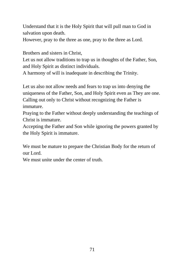Understand that it is the Holy Spirit that will pull man to God in salvation upon death.

However, pray to the three as one, pray to the three as Lord.

Brothers and sisters in Christ,

Let us not allow traditions to trap us in thoughts of the Father, Son, and Holy Spirit as distinct individuals.

A harmony of will is inadequate in describing the Trinity.

Let us also not allow needs and fears to trap us into denying the uniqueness of the Father, Son, and Holy Spirit even as They are one. Calling out only to Christ without recognizing the Father is immature.

Praying to the Father without deeply understanding the teachings of Christ is immature.

Accepting the Father and Son while ignoring the powers granted by the Holy Spirit is immature.

We must be mature to prepare the Christian Body for the return of our Lord.

We must unite under the center of truth.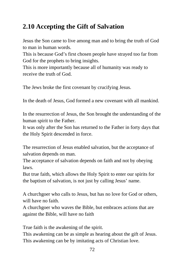## **2.10 Accepting the Gift of Salvation**

Jesus the Son came to live among man and to bring the truth of God to man in human words.

This is because God's first chosen people have strayed too far from God for the prophets to bring insights.

This is more importantly because all of humanity was ready to receive the truth of God.

The Jews broke the first covenant by crucifying Jesus.

In the death of Jesus, God formed a new covenant with all mankind.

In the resurrection of Jesus, the Son brought the understanding of the human spirit to the Father.

It was only after the Son has returned to the Father in forty days that the Holy Spirit descended in force.

The resurrection of Jesus enabled salvation, but the acceptance of salvation depends on man.

The acceptance of salvation depends on faith and not by obeying laws.

But true faith, which allows the Holy Spirit to enter our spirits for the baptism of salvation, is not just by calling Jesus' name.

A churchgoer who calls to Jesus, but has no love for God or others, will have no faith.

A churchgoer who waves the Bible, but embraces actions that are against the Bible, will have no faith

True faith is the awakening of the spirit.

This awakening can be as simple as hearing about the gift of Jesus. This awakening can be by imitating acts of Christian love.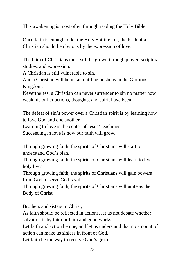This awakening is most often through reading the Holy Bible.

Once faith is enough to let the Holy Spirit enter, the birth of a Christian should be obvious by the expression of love.

The faith of Christians must still be grown through prayer, scriptural studies, and expression.

A Christian is still vulnerable to sin,

And a Christian will be in sin until he or she is in the Glorious Kingdom.

Nevertheless, a Christian can never surrender to sin no matter how weak his or her actions, thoughts, and spirit have been.

The defeat of sin's power over a Christian spirit is by learning how to love God and one another.

Learning to love is the center of Jesus' teachings.

Succeeding in love is how our faith will grow.

Through growing faith, the spirits of Christians will start to understand God's plan.

Through growing faith, the spirits of Christians will learn to live holy lives.

Through growing faith, the spirits of Christians will gain powers from God to serve God's will.

Through growing faith, the spirits of Christians will unite as the Body of Christ.

Brothers and sisters in Christ,

As faith should be reflected in actions, let us not debate whether salvation is by faith or faith and good works.

Let faith and action be one, and let us understand that no amount of action can make us sinless in front of God.

Let faith be the way to receive God's grace.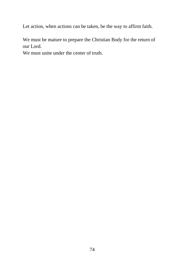Let action, when actions can be taken, be the way to affirm faith.

We must be mature to prepare the Christian Body for the return of our Lord.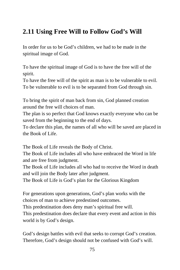## **2.11 Using Free Will to Follow God's Will**

In order for us to be God's children, we had to be made in the spiritual image of God.

To have the spiritual image of God is to have the free will of the spirit.

To have the free will of the spirit as man is to be vulnerable to evil. To be vulnerable to evil is to be separated from God through sin.

To bring the spirit of man back from sin, God planned creation around the free will choices of man.

The plan is so perfect that God knows exactly everyone who can be saved from the beginning to the end of days.

To declare this plan, the names of all who will be saved are placed in the Book of Life.

The Book of Life reveals the Body of Christ.

The Book of Life includes all who have embraced the Word in life and are free from judgment.

The Book of Life includes all who had to receive the Word in death and will join the Body later after judgment.

The Book of Life is God's plan for the Glorious Kingdom

For generations upon generations, God's plan works with the choices of man to achieve predestined outcomes.

This predestination does deny man's spiritual free will.

This predestination does declare that every event and action in this world is by God's design.

God's design battles with evil that seeks to corrupt God's creation. Therefore, God's design should not be confused with God's will.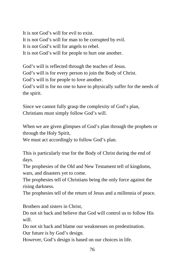It is not God's will for evil to exist. It is not God's will for man to be corrupted by evil. It is not God's will for angels to rebel. It is not God's will for people to hurt one another.

God's will is reflected through the teaches of Jesus. God's will is for every person to join the Body of Christ. God's will is for people to love another. God's will is for no one to have to physically suffer for the needs of

the spirit.

Since we cannot fully grasp the complexity of God's plan, Christians must simply follow God's will.

When we are given glimpses of God's plan through the prophets or through the Holy Spirit,

We must act accordingly to follow God's plan.

This is particularly true for the Body of Christ during the end of days.

The prophesies of the Old and New Testament tell of kingdoms, wars, and disasters yet to come.

The prophesies tell of Christians being the only force against the rising darkness.

The prophesies tell of the return of Jesus and a millennia of peace.

Brothers and sisters in Christ,

Do not sit back and believe that God will control us to follow His will.

Do not sit back and blame our weaknesses on predestination. Our future is by God's design.

However, God's design is based on our choices in life.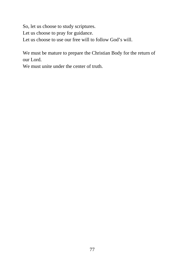So, let us choose to study scriptures.

Let us choose to pray for guidance.

Let us choose to use our free will to follow God's will.

We must be mature to prepare the Christian Body for the return of our Lord.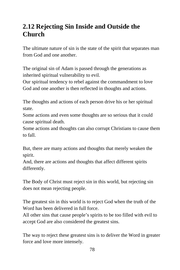## **2.12 Rejecting Sin Inside and Outside the Church**

The ultimate nature of sin is the state of the spirit that separates man from God and one another.

The original sin of Adam is passed through the generations as inherited spiritual vulnerability to evil.

Our spiritual tendency to rebel against the commandment to love God and one another is then reflected in thoughts and actions.

The thoughts and actions of each person drive his or her spiritual state.

Some actions and even some thoughts are so serious that it could cause spiritual death.

Some actions and thoughts can also corrupt Christians to cause them to fall.

But, there are many actions and thoughts that merely weaken the spirit.

And, there are actions and thoughts that affect different spirits differently.

The Body of Christ must reject sin in this world, but rejecting sin does not mean rejecting people.

The greatest sin in this world is to reject God when the truth of the Word has been delivered in full force.

All other sins that cause people's spirits to be too filled with evil to accept God are also considered the greatest sins.

The way to reject these greatest sins is to deliver the Word in greater force and love more intensely.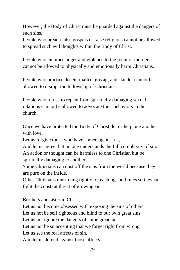However, the Body of Christ must be guarded against the dangers of such sins.

People who preach false gospels or false religions cannot be allowed to spread such evil thoughts within the Body of Christ.

People who embrace anger and violence to the point of murder cannot be allowed to physically and emotionally harm Christians.

People who practice deceit, malice, gossip, and slander cannot be allowed to disrupt the fellowship of Christians.

People who refuse to repent from spiritually damaging sexual relations cannot be allowed to advocate their behaviors in the church.

Once we have protected the Body of Christ, let us help one another with love.

Let us forgive those who have sinned against us,

And let us agree that no one understands the full complexity of sin. An action or thought can be harmless to one Christian but be spiritually damaging to another.

Some Christians can dust off the sins from the world because they are pure on the inside.

Other Christians must cling tightly to teachings and rules so they can fight the constant threat of growing sin.

Brothers and sister in Christ,

Let us not become obsessed with exposing the sins of others.

Let us not be self righteous and blind to our own great sins.

Let us not ignore the dangers of some great sins.

Let us not be so accepting that we forget right from wrong.

Let us see the real affects of sin,

And let us defend against those affects.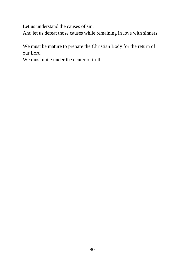Let us understand the causes of sin,

And let us defeat those causes while remaining in love with sinners.

We must be mature to prepare the Christian Body for the return of our Lord.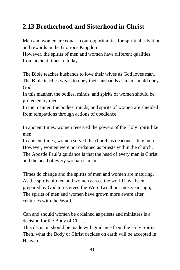# **2.13 Brotherhood and Sisterhood in Christ**

Men and women are equal in our opportunities for spiritual salvation and rewards in the Glorious Kingdom.

However, the spirits of men and women have different qualities from ancient times to today.

The Bible teaches husbands to love their wives as God loves man. The Bible teaches wives to obey their husbands as man should obey God.

In this manner, the bodies, minds, and spirits of women should be protected by men.

In the manner, the bodies, minds, and spirits of women are shielded from temptations through actions of obedience.

In ancient times, women received the powers of the Holy Spirit like men.

In ancient times, women served the church as deaconess like men. However, women were not ordained as priests within the church. The Apostle Paul's guidance is that the head of every man is Christ and the head of every woman is man.

Times do change and the spirits of men and women are maturing. As the spirits of men and women across the world have been prepared by God to received the Word two thousands years ago, The spirits of men and women have grown more aware after centuries with the Word.

Can and should women be ordained as priests and ministers is a decision for the Body of Christ.

This decision should be made with guidance from the Holy Spirit. Then, what the Body or Christ decides on earth will be accepted in Heaven.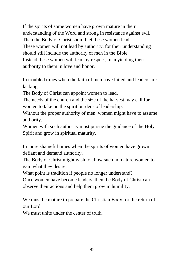If the spirits of some women have grown mature in their understanding of the Word and strong in resistance against evil, Then the Body of Christ should let these women lead. These women will not lead by authority, for their understanding should still include the authority of men in the Bible. Instead these women will lead by respect, men yielding their authority to them in love and honor.

In troubled times when the faith of men have failed and leaders are lacking,

The Body of Christ can appoint women to lead.

The needs of the church and the size of the harvest may call for women to take on the spirit burdens of leadership.

Without the proper authority of men, women might have to assume authority.

Women with such authority must pursue the guidance of the Holy Spirit and grow in spiritual maturity.

In more shameful times when the spirits of women have grown defiant and demand authority,

The Body of Christ might wish to allow such immature women to gain what they desire.

What point is tradition if people no longer understand?

Once women have become leaders, then the Body of Christ can observe their actions and help them grow in humility.

We must be mature to prepare the Christian Body for the return of our Lord.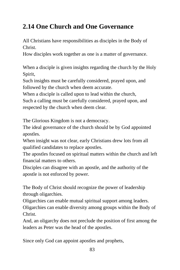## **2.14 One Church and One Governance**

All Christians have responsibilities as disciples in the Body of Christ.

How disciples work together as one is a matter of governance.

When a disciple is given insights regarding the church by the Holy Spirit,

Such insights must be carefully considered, prayed upon, and followed by the church when deem accurate.

When a disciple is called upon to lead within the church,

Such a calling must be carefully considered, prayed upon, and respected by the church when deem clear.

The Glorious Kingdom is not a democracy.

The ideal governance of the church should be by God appointed apostles.

When insight was not clear, early Christians drew lots from all qualified candidates to replace apostles.

The apostles focused on spiritual matters within the church and left financial matters to others.

Disciples can disagree with an apostle, and the authority of the apostle is not enforced by power.

The Body of Christ should recognize the power of leadership through oligarchies.

Oligarchies can enable mutual spiritual support among leaders. Oligarchies can enable diversity among groups within the Body of Christ.

And, an oligarchy does not preclude the position of first among the leaders as Peter was the head of the apostles.

Since only God can appoint apostles and prophets,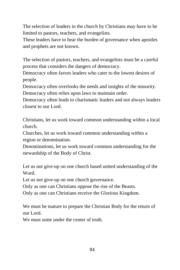The selection of leaders in the church by Christians may have to be limited to pastors, teachers, and evangelists.

These leaders have to bear the burden of governance when apostles and prophets are not known.

The selection of pastors, teachers, and evangelists must be a careful process that considers the dangers of democracy.

Democracy often favors leaders who cater to the lowest desires of people.

Democracy often overlooks the needs and insights of the minority. Democracy often relies upon laws to maintain order.

Democracy often leads to charismatic leaders and not always leaders closest to our Lord.

Christians, let us work toward common understanding within a local church.

Churches, let us work toward common understanding within a region or denomination.

Denominations, let us work toward common understanding for the stewardship of the Body of Christ.

Let us not give-up on one church based united understanding of the Word.

Let us not give-up on one church governance.

Only as one can Christians oppose the rise of the Beasts.

Only as one can Christians receive the Glorious Kingdom.

We must be mature to prepare the Christian Body for the return of our Lord.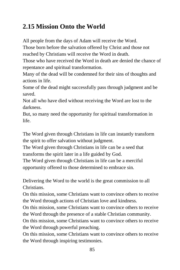## **2.15 Mission Onto the World**

All people from the days of Adam will receive the Word.

Those born before the salvation offered by Christ and those not reached by Christians will receive the Word in death.

Those who have received the Word in death are denied the chance of repentance and spiritual transformation.

Many of the dead will be condemned for their sins of thoughts and actions in life.

Some of the dead might successfully pass through judgment and be saved.

Not all who have died without receiving the Word are lost to the darkness.

But, so many need the opportunity for spiritual transformation in life.

The Word given through Christians in life can instantly transform the spirit to offer salvation without judgment.

The Word given through Christians in life can be a seed that transforms the spirit later in a life guided by God.

The Word given through Christians in life can be a merciful opportunity offered to those determined to embrace sin.

Delivering the Word to the world is the great commission to all Christians.

On this mission, some Christians want to convince others to receive the Word through actions of Christian love and kindness.

On this mission, some Christians want to convince others to receive the Word through the presence of a stable Christian community.

On this mission, some Christians want to convince others to receive the Word through powerful preaching.

On this mission, some Christians want to convince others to receive the Word through inspiring testimonies.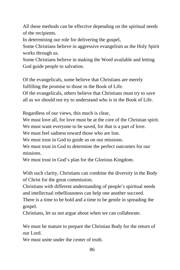All these methods can be effective depending on the spiritual needs of the recipients.

In determining our role for delivering the gospel,

Some Christians believe in aggressive evangelism as the Holy Spirit works through us.

Some Christians believe in making the Word available and letting God guide people to salvation.

Of the evangelicals, some believe that Christians are merely fulfilling the promise to those in the Book of Life.

Of the evangelicals, others believe that Christians must try to save all as we should not try to understand who is in the Book of Life.

Regardless of our views, this much is clear,

We must love all, for love must be at the core of the Christian spirit.

We must want everyone to be saved, for that is a part of love.

We must feel sadness toward those who are lost.

We must trust in God to guide us on our missions.

We must trust in God to determine the perfect outcomes for our missions.

We must trust in God's plan for the Glorious Kingdom.

With such clarity, Christians can combine the diversity in the Body of Christ for the great commission.

Christians with different understanding of people's spiritual needs and intellectual rebelliousness can help one another succeed.

There is a time to be bold and a time to be gentle in spreading the gospel.

Christians, let us not argue about when we can collaborate.

We must be mature to prepare the Christian Body for the return of our Lord.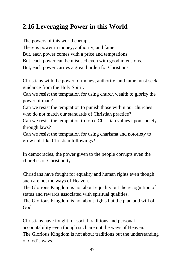# **2.16 Leveraging Power in this World**

The powers of this world corrupt. There is power in money, authority, and fame. But, each power comes with a price and temptations. But, each power can be misused even with good intensions. But, each power carries a great burden for Christians.

Christians with the power of money, authority, and fame must seek guidance from the Holy Spirit.

Can we resist the temptation for using church wealth to glorify the power of man?

Can we resist the temptation to punish those within our churches who do not match our standards of Christian practice?

Can we resist the temptation to force Christian values upon society through laws?

Can we resist the temptation for using charisma and notoriety to grow cult like Christian followings?

In democracies, the power given to the people corrupts even the churches of Christianity.

Christians have fought for equality and human rights even though such are not the ways of Heaven.

The Glorious Kingdom is not about equality but the recognition of status and rewards associated with spiritual qualities.

The Glorious Kingdom is not about rights but the plan and will of God.

Christians have fought for social traditions and personal accountability even though such are not the ways of Heaven. The Glorious Kingdom is not about traditions but the understanding of God's ways.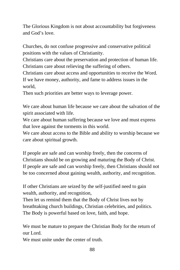The Glorious Kingdom is not about accountability but forgiveness and God's love.

Churches, do not confuse progressive and conservative political positions with the values of Christianity.

Christians care about the preservation and protection of human life. Christians care about relieving the suffering of others.

Christians care about access and opportunities to receive the Word. If we have money, authority, and fame to address issues in the world,

Then such priorities are better ways to leverage power.

We care about human life because we care about the salvation of the spirit associated with life.

We care about human suffering because we love and must express that love against the torments in this world.

We care about access to the Bible and ability to worship because we care about spiritual growth.

If people are safe and can worship freely, then the concerns of Christians should be on growing and maturing the Body of Christ. If people are safe and can worship freely, then Christians should not be too concerned about gaining wealth, authority, and recognition.

If other Christians are seized by the self-justified need to gain wealth, authority, and recognition,

Then let us remind them that the Body of Christ lives not by breathtaking church buildings, Christian celebrities, and politics. The Body is powerful based on love, faith, and hope.

We must be mature to prepare the Christian Body for the return of our Lord.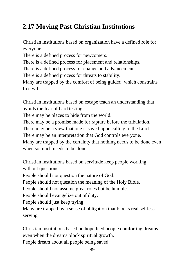# **2.17 Moving Past Christian Institutions**

Christian institutions based on organization have a defined role for everyone.

There is a defined process for newcomers.

There is a defined process for placement and relationships.

There is a defined process for change and advancement.

There is a defined process for threats to stability.

Many are trapped by the comfort of being guided, which constrains free will.

Christian institutions based on escape teach an understanding that avoids the fear of hard testing.

There may be places to hide from the world.

There may be a promise made for rapture before the tribulation.

There may be a view that one is saved upon calling to the Lord.

There may be an interpretation that God controls everyone.

Many are trapped by the certainty that nothing needs to be done even when so much needs to be done.

Christian institutions based on servitude keep people working without questions.

People should not question the nature of God.

People should not question the meaning of the Holy Bible.

People should not assume great roles but be humble.

People should evangelize out of duty.

People should just keep trying.

Many are trapped by a sense of obligation that blocks real selfless serving.

Christian institutions based on hope feed people comforting dreams even when the dreams block spiritual growth.

People dream about all people being saved.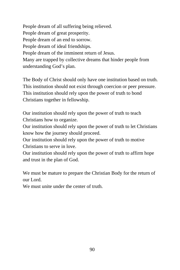People dream of all suffering being relieved. People dream of great prosperity. People dream of an end to sorrow. People dream of ideal friendships. People dream of the imminent return of Jesus. Many are trapped by collective dreams that hinder people from understanding God's plan.

The Body of Christ should only have one institution based on truth. This institution should not exist through coercion or peer pressure. This institution should rely upon the power of truth to bond Christians together in fellowship.

Our institution should rely upon the power of truth to teach Christians how to organize.

Our institution should rely upon the power of truth to let Christians know how the journey should proceed.

Our institution should rely upon the power of truth to motive Christians to serve in love.

Our institution should rely upon the power of truth to affirm hope and trust in the plan of God.

We must be mature to prepare the Christian Body for the return of our Lord.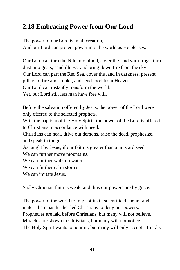## **2.18 Embracing Power from Our Lord**

The power of our Lord is in all creation, And our Lord can project power into the world as He pleases.

Our Lord can turn the Nile into blood, cover the land with frogs, turn dust into gnats, send illness, and bring down fire from the sky. Our Lord can part the Red Sea, cover the land in darkness, present pillars of fire and smoke, and send food from Heaven. Our Lord can instantly transform the world. Yet, our Lord still lets man have free will.

Before the salvation offered by Jesus, the power of the Lord were only offered to the selected prophets.

With the baptism of the Holy Spirit, the power of the Lord is offered to Christians in accordance with need.

Christians can heal, drive out demons, raise the dead, prophesize, and speak in tongues.

As taught by Jesus, if our faith is greater than a mustard seed,

We can further move mountains.

We can further walk on water.

We can further calm storms.

We can imitate Jesus.

Sadly Christian faith is weak, and thus our powers are by grace.

The power of the world to trap spirits in scientific disbelief and materialism has further led Christians to deny our powers. Prophecies are laid before Christians, but many will not believe. Miracles are shown to Christians, but many will not notice. The Holy Spirit wants to pour in, but many will only accept a trickle.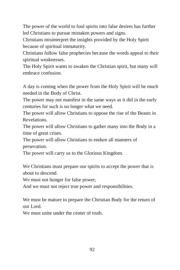The power of the world to fool spirits into false desires has further led Christians to pursue mistaken powers and signs.

Christians misinterpret the insights provided by the Holy Spirit because of spiritual immaturity.

Christians follow false prophecies because the words appeal to their spiritual weaknesses.

The Holy Spirit wants to awaken the Christian spirit, but many will embrace confusion.

A day is coming when the power from the Holy Spirit will be much needed in the Body of Christ.

The power may not manifest in the same ways as it did in the early centuries for such is no longer what we need.

The power will allow Christians to oppose the rise of the Beasts in Revelations.

The power will allow Christians to gather many into the Body in a time of great crises.

The power will allow Christians to endure all manners of persecution.

The power will carry us to the Glorious Kingdom.

We Christians must prepare our spirits to accept the power that is about to descend.

We must not hunger for false power,

And we must not reject true power and responsibilities.

We must be mature to prepare the Christian Body for the return of our Lord.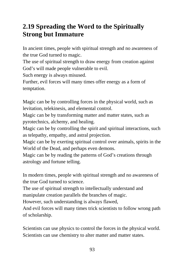#### **2.19 Spreading the Word to the Spiritually Strong but Immature**

In ancient times, people with spiritual strength and no awareness of the true God turned to magic.

The use of spiritual strength to draw energy from creation against God's will made people vulnerable to evil.

Such energy is always misused.

Further, evil forces will many times offer energy as a form of temptation.

Magic can be by controlling forces in the physical world, such as levitation, telekinesis, and elemental control.

Magic can be by transforming matter and matter states, such as pyrotechnics, alchemy, and healing.

Magic can be by controlling the spirit and spiritual interactions, such as telepathy, empathy, and astral projection.

Magic can be by exerting spiritual control over animals, spirits in the World of the Dead, and perhaps even demons.

Magic can be by reading the patterns of God's creations through astrology and fortune telling.

In modern times, people with spiritual strength and no awareness of the true God turned to science.

The use of spiritual strength to intellectually understand and manipulate creation parallels the branches of magic.

However, such understanding is always flawed,

And evil forces will many times trick scientists to follow wrong path of scholarship.

Scientists can use physics to control the forces in the physical world. Scientists can use chemistry to alter matter and matter states.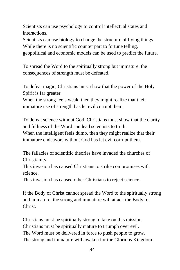Scientists can use psychology to control intellectual states and interactions.

Scientists can use biology to change the structure of living things. While there is no scientific counter part to fortune telling, geopolitical and economic models can be used to predict the future.

To spread the Word to the spiritually strong but immature, the consequences of strength must be defeated.

To defeat magic, Christians must show that the power of the Holy Spirit is far greater.

When the strong feels weak, then they might realize that their immature use of strength has let evil corrupt them.

To defeat science without God, Christians must show that the clarity and fullness of the Word can lead scientists to truth. When the intelligent feels dumb, then they might realize that their immature endeavors without God has let evil corrupt them.

The fallacies of scientific theories have invaded the churches of Christianity.

This invasion has caused Christians to strike compromises with science.

This invasion has caused other Christians to reject science.

If the Body of Christ cannot spread the Word to the spiritually strong and immature, the strong and immature will attack the Body of Christ.

Christians must be spiritually strong to take on this mission. Christians must be spiritually mature to triumph over evil. The Word must be delivered in force to push people to grow. The strong and immature will awaken for the Glorious Kingdom.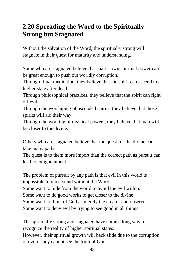#### **2.20 Spreading the Word to the Spiritually Strong but Stagnated**

Without the salvation of the Word, the spiritually strong will stagnate in their quest for maturity and understanding.

Some who are stagnated believe that man's own spiritual power can be great enough to push out worldly corruption.

Through ritual meditation, they believe that the spirit can ascend to a higher state after death.

Through philosophical practices, they believe that the spirit can fight off evil.

Through the worshiping of ascended spirits, they believe that those spirits will aid their way.

Through the working of mystical powers, they believe that man will be closer to the divine.

Others who are stagnated believe that the quest for the divine can take many paths.

The quest is to them more import than the correct path as pursuit can lead to enlightenment.

The problem of pursuit by any path is that evil in this world is impossible to understand without the Word.

Some want to hide from the world to avoid the evil within.

Some want to do good works to get closer to the divine.

Some want to think of God as merely the creator and observer.

Some want to deny evil by trying to see good in all things.

The spiritually strong and stagnated have come a long way to recognize the reality of higher spiritual states.

However, their spiritual growth will back slide due to the corruption of evil if they cannot see the truth of God.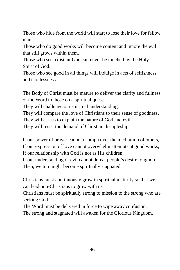Those who hide from the world will start to lose their love for fellow man.

Those who do good works will become content and ignore the evil that still grows within them.

Those who see a distant God can never be touched by the Holy Spirit of God.

Those who see good in all things will indulge in acts of selfishness and carelessness.

The Body of Christ must be mature to deliver the clarity and fullness of the Word to those on a spiritual quest.

They will challenge our spiritual understanding.

They will compare the love of Christians to their sense of goodness.

They will ask us to explain the nature of God and evil.

They will resist the demand of Christian discipleship.

If our power of prayer cannot triumph over the meditation of others, If our expression of love cannot overwhelm attempts at good works, If our relationship with God is not as His children,

If our understanding of evil cannot defeat people's desire to ignore, Then, we too might become spiritually stagnated.

Christians must continuously grow in spiritual maturity so that we can lead non-Christians to grow with us.

Christians must be spiritually strong to mission to the strong who are seeking God.

The Word must be delivered in force to wipe away confusion.

The strong and stagnated will awaken for the Glorious Kingdom.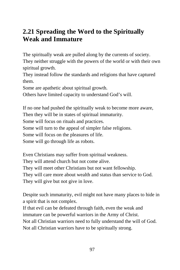#### **2.21 Spreading the Word to the Spiritually Weak and Immature**

The spiritually weak are pulled along by the currents of society.

They neither struggle with the powers of the world or with their own spiritual growth.

They instead follow the standards and religions that have captured them.

Some are apathetic about spiritual growth.

Others have limited capacity to understand God's will.

If no one had pushed the spiritually weak to become more aware, Then they will be in states of spiritual immaturity. Some will focus on rituals and practices. Some will turn to the appeal of simpler false religions. Some will focus on the pleasures of life. Some will go through life as robots.

Even Christians may suffer from spiritual weakness. They will attend church but not come alive. They will meet other Christians but not want fellowship. They will care more about wealth and status than service to God. They will give but not give in love.

Despite such immaturity, evil might not have many places to hide in a spirit that is not complex.

If that evil can be defeated through faith, even the weak and immature can be powerful warriors in the Army of Christ. Not all Christian warriors need to fully understand the will of God. Not all Christian warriors have to be spiritually strong.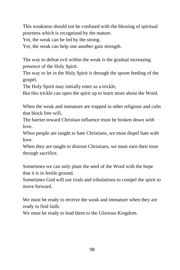This weakness should not be confused with the blessing of spiritual poorness which is recognized by the mature.

Yet, the weak can be led by the strong.

Yet, the weak can help one another gain strength.

The way to defeat evil within the weak is the gradual increasing presence of the Holy Spirit.

The way to let in the Holy Spirit is through the spoon feeding of the gospel.

The Holy Spirit may initially enter as a trickle,

But this trickle can open the spirit up to learn more about the Word.

When the weak and immature are trapped in other religions and cults that block free will,

The barrier toward Christian influence must be broken down with love.

When people are taught to hate Christians, we must dispel hate with love.

When they are taught to distrust Christians, we must earn their trust through sacrifice.

Sometimes we can only plant the seed of the Word with the hope that it is in fertile ground.

Sometimes God will use trials and tribulations to compel the spirit to move forward.

We must be ready to receive the weak and immature when they are ready to find faith.

We must be ready to lead them to the Glorious Kingdom.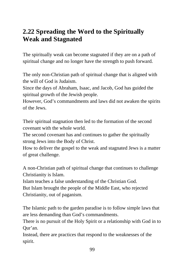## **2.22 Spreading the Word to the Spiritually Weak and Stagnated**

The spiritually weak can become stagnated if they are on a path of spiritual change and no longer have the strength to push forward.

The only non-Christian path of spiritual change that is aligned with the will of God is Judaism.

Since the days of Abraham, Isaac, and Jacob, God has guided the spiritual growth of the Jewish people.

However, God's commandments and laws did not awaken the spirits of the Jews.

Their spiritual stagnation then led to the formation of the second covenant with the whole world.

The second covenant has and continues to gather the spiritually strong Jews into the Body of Christ.

How to deliver the gospel to the weak and stagnated Jews is a matter of great challenge.

A non-Christian path of spiritual change that continues to challenge Christianity is Islam.

Islam teaches a false understanding of the Christian God.

But Islam brought the people of the Middle East, who rejected Christianity, out of paganism.

The Islamic path to the garden paradise is to follow simple laws that are less demanding than God's commandments.

There is no pursuit of the Holy Spirit or a relationship with God in to Qur'an.

Instead, there are practices that respond to the weaknesses of the spirit.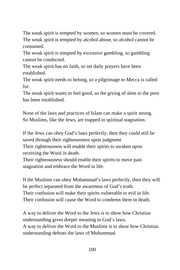The weak spirit is tempted by women, so women must be covered. The weak spirit is tempted by alcohol abuse, so alcohol cannot be consumed.

The weak spirit is tempted by excessive gambling, so gambling cannot be conducted.

The weak spirit has no faith, so set daily prayers have been established.

The weak spirit needs to belong, so a pilgrimage to Mecca is called for.

The weak spirit wants to feel good, so the giving of alms to the poor has been established.

None of the laws and practices of Islam can make a spirit strong. So Muslims, like the Jews, are trapped in spiritual stagnation.

If the Jews can obey God's laws perfectly, then they could still be saved through their righteousness upon judgment

Their righteousness will enable their spirits to awaken upon receiving the Word in death.

Their righteousness should enable their spirits to move past stagnation and embrace the Word in life.

If the Muslims can obey Mohammad's laws perfectly, then they will be perfect separated from the awareness of God's truth. Their confusion will make their spirits vulnerable to evil in life. Their confusion will cause the Word to condemn them in death.

A way to deliver the Word to the Jews is to show how Christian understanding gives deeper meaning to God's laws. A way to deliver the Word to the Muslims is to show how Christian understanding defeats the laws of Mohammad.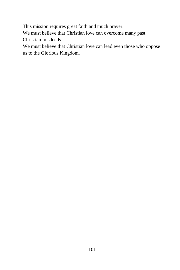This mission requires great faith and much prayer.

We must believe that Christian love can overcome many past Christian misdeeds.

We must believe that Christian love can lead even those who oppose us to the Glorious Kingdom.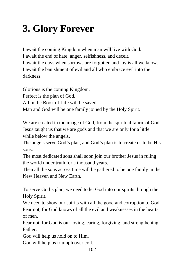# **3. Glory Forever**

I await the coming Kingdom when man will live with God. I await the end of hate, anger, selfishness, and deceit. I await the days when sorrows are forgotten and joy is all we know. I await the banishment of evil and all who embrace evil into the darkness.

Glorious is the coming Kingdom. Perfect is the plan of God. All in the Book of Life will be saved. Man and God will be one family joined by the Holy Spirit.

We are created in the image of God, from the spiritual fabric of God. Jesus taught us that we are gods and that we are only for a little while below the angels.

The angels serve God's plan, and God's plan is to create us to be His sons.

The most dedicated sons shall soon join our brother Jesus in ruling the world under truth for a thousand years.

Then all the sons across time will be gathered to be one family in the New Heaven and New Earth.

To serve God's plan, we need to let God into our spirits through the Holy Spirit.

We need to show our spirits with all the good and corruption to God. Fear not, for God knows of all the evil and weaknesses in the hearts of men.

Fear not, for God is our loving, caring, forgiving, and strengthening Father.

God will help us hold on to Him.

God will help us triumph over evil.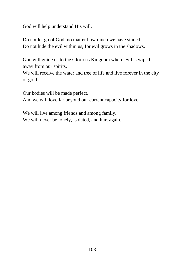God will help understand His will.

Do not let go of God, no matter how much we have sinned. Do not hide the evil within us, for evil grows in the shadows.

God will guide us to the Glorious Kingdom where evil is wiped away from our spirits.

We will receive the water and tree of life and live forever in the city of gold.

Our bodies will be made perfect, And we will love far beyond our current capacity for love.

We will live among friends and among family. We will never be lonely, isolated, and hurt again.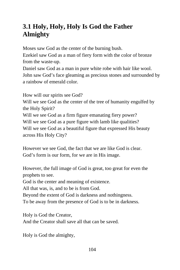## **3.1 Holy, Holy, Holy Is God the Father Almighty**

Moses saw God as the center of the burning bush.

Ezekiel saw God as a man of fiery form with the color of bronze from the waste-up.

Daniel saw God as a man in pure white robe with hair like wool. John saw God's face gleaming as precious stones and surrounded by a rainbow of emerald color.

How will our spirits see God?

Will we see God as the center of the tree of humanity engulfed by the Holy Spirit?

Will we see God as a firm figure emanating fiery power?

Will we see God as a pure figure with lamb like qualities?

Will we see God as a beautiful figure that expressed His beauty across His Holy City?

However we see God, the fact that we are like God is clear. God's form is our form, for we are in His image.

However, the full image of God is great, too great for even the prophets to see.

God is the center and meaning of existence.

All that was, is, and to be is from God.

Beyond the extent of God is darkness and nothingness.

To be away from the presence of God is to be in darkness.

Holy is God the Creator,

And the Creator shall save all that can be saved.

Holy is God the almighty,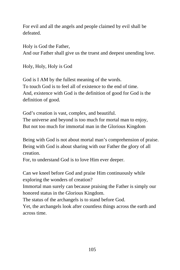For evil and all the angels and people claimed by evil shall be defeated.

Holy is God the Father, And our Father shall give us the truest and deepest unending love.

Holy, Holy, Holy is God

God is I AM by the fullest meaning of the words. To touch God is to feel all of existence to the end of time. And, existence with God is the definition of good for God is the definition of good.

God's creation is vast, complex, and beautiful. The universe and beyond is too much for mortal man to enjoy, But not too much for immortal man in the Glorious Kingdom

Being with God is not about mortal man's comprehension of praise. Being with God is about sharing with our Father the glory of all creation.

For, to understand God is to love Him ever deeper.

Can we kneel before God and praise Him continuously while exploring the wonders of creation?

Immortal man surely can because praising the Father is simply our honored status in the Glorious Kingdom.

The status of the archangels is to stand before God.

Yet, the archangels look after countless things across the earth and across time.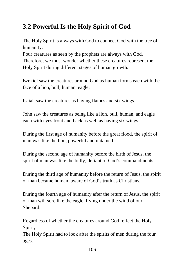# **3.2 Powerful Is the Holy Spirit of God**

The Holy Spirit is always with God to connect God with the tree of humanity.

Four creatures as seen by the prophets are always with God. Therefore, we must wonder whether these creatures represent the Holy Spirit during different stages of human growth.

Ezekiel saw the creatures around God as human forms each with the face of a lion, bull, human, eagle.

Isaiah saw the creatures as having flames and six wings.

John saw the creatures as being like a lion, bull, human, and eagle each with eyes front and back as well as having six wings.

During the first age of humanity before the great flood, the spirit of man was like the lion, powerful and untamed.

During the second age of humanity before the birth of Jesus, the spirit of man was like the bully, defiant of God's commandments.

During the third age of humanity before the return of Jesus, the spirit of man became human, aware of God's truth as Christians.

During the fourth age of humanity after the return of Jesus, the spirit of man will sore like the eagle, flying under the wind of our Shepard.

Regardless of whether the creatures around God reflect the Holy Spirit,

The Holy Spirit had to look after the spirits of men during the four ages.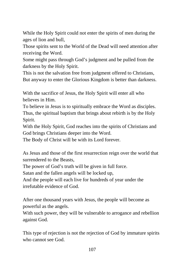While the Holy Spirit could not enter the spirits of men during the ages of lion and bull,

Those spirits sent to the World of the Dead will need attention after receiving the Word.

Some might pass through God's judgment and be pulled from the darkness by the Holy Spirit.

This is not the salvation free from judgment offered to Christians, But anyway to enter the Glorious Kingdom is better than darkness.

With the sacrifice of Jesus, the Holy Spirit will enter all who believes in Him.

To believe in Jesus is to spiritually embrace the Word as disciples. Thus, the spiritual baptism that brings about rebirth is by the Holy Spirit.

With the Holy Spirit, God reaches into the spirits of Christians and God brings Christians deeper into the Word.

The Body of Christ will be with its Lord forever.

As Jesus and those of the first resurrection reign over the world that surrendered to the Beasts,

The power of God's truth will be given in full force.

Satan and the fallen angels will be locked up,

And the people will each live for hundreds of year under the irrefutable evidence of God.

After one thousand years with Jesus, the people will become as powerful as the angels.

With such power, they will be vulnerable to arrogance and rebellion against God.

This type of rejection is not the rejection of God by immature spirits who cannot see God.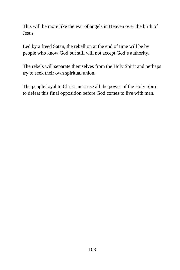This will be more like the war of angels in Heaven over the birth of Jesus.

Led by a freed Satan, the rebellion at the end of time will be by people who know God but still will not accept God's authority.

The rebels will separate themselves from the Holy Spirit and perhaps try to seek their own spiritual union.

The people loyal to Christ must use all the power of the Holy Spirit to defeat this final opposition before God comes to live with man.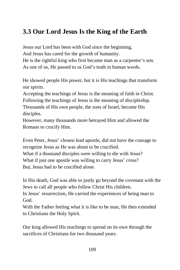# **3.3 Our Lord Jesus Is the King of the Earth**

Jesus our Lord has been with God since the beginning, And Jesus has cared for the growth of humanity. He is the rightful king who first became man as a carpenter's son. As one of us, He passed to us God's truth in human words.

He showed people His power, but it is His teachings that transform our spirits.

Accepting the teachings of Jesus is the meaning of faith in Christ. Following the teachings of Jesus is the meaning of discipleship. Thousands of His own people, the sons of Israel, became His disciples.

However, many thousands more betrayed Him and allowed the Romans to crucify Him.

Even Peter, Jesus' chosen lead apostle, did not have the courage to recognize Jesus as He was about to be crucified. What if a thousand disciples were willing to die with Jesus? What if just one apostle was willing to carry Jesus' cross? But, Jesus had to be crucified alone.

In His death, God was able to justly go beyond the covenant with the Jews to call all people who follow Christ His children.

In Jesus' resurrection, He carried the experiences of being man to God.

With the Father feeling what it is like to be man, He then extended to Christians the Holy Spirit.

Our king allowed His teachings to spread on its own through the sacrifices of Christians for two thousand years.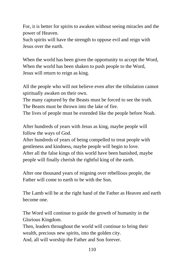For, it is better for spirits to awaken without seeing miracles and the power of Heaven.

Such spirits will have the strength to oppose evil and reign with Jesus over the earth.

When the world has been given the opportunity to accept the Word, When the world has been shaken to push people to the Word, Jesus will return to reign as king.

All the people who will not believe even after the tribulation cannot spiritually awaken on their own.

The many captured by the Beasts must be forced to see the truth. The Beasts must be thrown into the lake of fire.

The lives of people must be extended like the people before Noah.

After hundreds of years with Jesus as king, maybe people will follow the ways of God.

After hundreds of years of being compelled to treat people with gentleness and kindness, maybe people will begin to love. After all the false kings of this world have been banished, maybe people will finally cherish the rightful king of the earth.

After one thousand years of reigning over rebellious people, the Father will come to earth to be with the Son.

The Lamb will be at the right hand of the Father as Heaven and earth become one.

The Word will continue to guide the growth of humanity in the Glorious Kingdom.

Then, leaders throughout the world will continue to bring their wealth, precious new spirits, into the golden city. And, all will worship the Father and Son forever.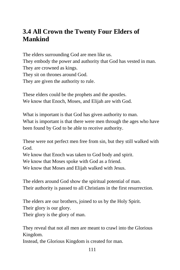## **3.4 All Crown the Twenty Four Elders of Mankind**

The elders surrounding God are men like us. They embody the power and authority that God has vested in man. They are crowned as kings. They sit on thrones around God. They are given the authority to rule.

These elders could be the prophets and the apostles. We know that Enoch, Moses, and Elijah are with God.

What is important is that God has given authority to man. What is important is that there were men through the ages who have been found by God to be able to receive authority.

These were not perfect men free from sin, but they still walked with God.

We know that Enoch was taken to God body and spirit.

We know that Moses spoke with God as a friend.

We know that Moses and Elijah walked with Jesus.

The elders around God show the spiritual potential of man. Their authority is passed to all Christians in the first resurrection.

The elders are our brothers, joined to us by the Holy Spirit. Their glory is our glory. Their glory is the glory of man.

They reveal that not all men are meant to crawl into the Glorious Kingdom.

Instead, the Glorious Kingdom is created for man.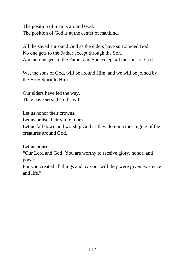The position of man is around God. The position of God is at the center of mankind.

All the saved surround God as the elders have surrounded God. No one gets to the Father except through the Son, And no one gets to the Father and Son except all the sons of God.

We, the sons of God, will be around Him, and we will be joined by the Holy Spirit to Him.

Our elders have led the way. They have served God's will.

Let us honor their crowns.

Let us praise their white robes.

Let us fall down and worship God as they do upon the singing of the creatures around God.

Let us praise:

"Our Lord and God! You are worthy to receive glory, honor, and power.

For you created all things and by your will they were given existence and life."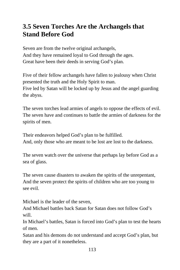## **3.5 Seven Torches Are the Archangels that Stand Before God**

Seven are from the twelve original archangels, And they have remained loyal to God through the ages. Great have been their deeds in serving God's plan.

Five of their fellow archangels have fallen to jealousy when Christ presented the truth and the Holy Spirit to man. Five led by Satan will be locked up by Jesus and the angel guarding the abyss.

The seven torches lead armies of angels to oppose the effects of evil. The seven have and continues to battle the armies of darkness for the spirits of men.

Their endeavors helped God's plan to be fulfilled. And, only those who are meant to be lost are lost to the darkness.

The seven watch over the universe that perhaps lay before God as a sea of glass.

The seven cause disasters to awaken the spirits of the unrepentant, And the seven protect the spirits of children who are too young to see evil.

Michael is the leader of the seven,

And Michael battles back Satan for Satan does not follow God's will.

In Michael's battles, Satan is forced into God's plan to test the hearts of men.

Satan and his demons do not understand and accept God's plan, but they are a part of it nonetheless.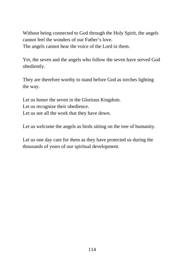Without being connected to God through the Holy Spirit, the angels cannot feel the wonders of our Father's love. The angels cannot hear the voice of the Lord in them.

Yet, the seven and the angels who follow the seven have served God obediently.

They are therefore worthy to stand before God as torches lighting the way.

Let us honor the seven in the Glorious Kingdom. Let us recognize their obedience. Let us see all the work that they have down.

Let us welcome the angels as birds sitting on the tree of humanity.

Let us one day care for them as they have protected us during the thousands of years of our spiritual development.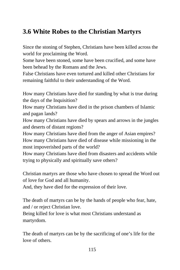# **3.6 White Robes to the Christian Martyrs**

Since the stoning of Stephen, Christians have been killed across the world for proclaiming the Word.

Some have been stoned, some have been crucified, and some have been behead by the Romans and the Jews.

False Christians have even tortured and killed other Christians for remaining faithful to their understanding of the Word.

How many Christians have died for standing by what is true during the days of the Inquisition?

How many Christians have died in the prison chambers of Islamic and pagan lands?

How many Christians have died by spears and arrows in the jungles and deserts of distant regions?

How many Christians have died from the anger of Asian empires? How many Christians have died of disease while missioning in the most impoverished parts of the world?

How many Christians have died from disasters and accidents while trying to physically and spiritually save others?

Christian martyrs are those who have chosen to spread the Word out of love for God and all humanity.

And, they have died for the expression of their love.

The death of martyrs can be by the hands of people who fear, hate, and / or reject Christian love.

Being killed for love is what most Christians understand as martyrdom.

The death of martyrs can be by the sacrificing of one's life for the love of others.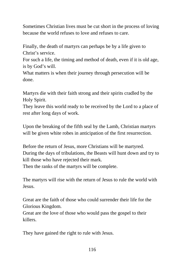Sometimes Christian lives must be cut short in the process of loving because the world refuses to love and refuses to care.

Finally, the death of martyrs can perhaps be by a life given to Christ's service.

For such a life, the timing and method of death, even if it is old age, is by God's will.

What matters is when their journey through persecution will be done.

Martyrs die with their faith strong and their spirits cradled by the Holy Spirit.

They leave this world ready to be received by the Lord to a place of rest after long days of work.

Upon the breaking of the fifth seal by the Lamb, Christian martyrs will be given white robes in anticipation of the first resurrection.

Before the return of Jesus, more Christians will be martyred. During the days of tribulations, the Beasts will hunt down and try to kill those who have rejected their mark.

Then the ranks of the martyrs will be complete.

The martyrs will rise with the return of Jesus to rule the world with Jesus.

Great are the faith of those who could surrender their life for the Glorious Kingdom.

Great are the love of those who would pass the gospel to their killers.

They have gained the right to rule with Jesus.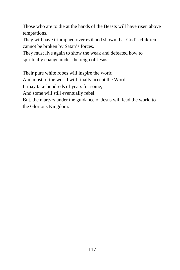Those who are to die at the hands of the Beasts will have risen above temptations.

They will have triumphed over evil and shown that God's children cannot be broken by Satan's forces.

They must live again to show the weak and defeated how to spiritually change under the reign of Jesus.

Their pure white robes will inspire the world,

And most of the world will finally accept the Word.

It may take hundreds of years for some,

And some will still eventually rebel.

But, the martyrs under the guidance of Jesus will lead the world to the Glorious Kingdom.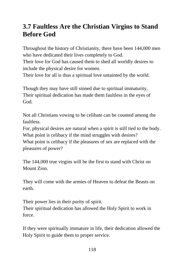## **3.7 Faultless Are the Christian Virgins to Stand Before God**

Throughout the history of Christianity, there have been 144,000 men who have dedicated their lives completely to God.

Their love for God has caused them to shed all worldly desires to include the physical desire for women.

Their love for all is thus a spiritual love untainted by the world.

Though they may have still sinned due to spiritual immaturity, Their spiritual dedication has made them faultless in the eyes of God.

Not all Christians vowing to be celibate can be counted among the faultless.

For, physical desires are natural when a spirit is still tied to the body. What point is celibacy if the mind struggles with desires?

What point is celibacy if the pleasures of sex are replaced with the pleasures of power?

The 144,000 true virgins will be the first to stand with Christ on Mount Zion.

They will come with the armies of Heaven to defeat the Beasts on earth.

Their power lies in their purity of spirit. Their spiritual dedication has allowed the Holy Spirit to work in force.

If they were spiritually immature in life, their dedication allowed the Holy Spirit to guide them to proper service.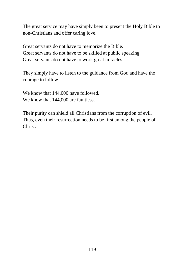The great service may have simply been to present the Holy Bible to non-Christians and offer caring love.

Great servants do not have to memorize the Bible. Great servants do not have to be skilled at public speaking. Great servants do not have to work great miracles.

They simply have to listen to the guidance from God and have the courage to follow.

We know that 144,000 have followed. We know that 144,000 are faultless.

Their purity can shield all Christians from the corruption of evil. Thus, even their resurrection needs to be first among the people of Christ.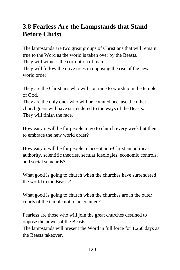## **3.8 Fearless Are the Lampstands that Stand Before Christ**

The lampstands are two great groups of Christians that will remain true to the Word as the world is taken over by the Beasts.

They will witness the corruption of man.

They will follow the olive trees in opposing the rise of the new world order.

They are the Christians who will continue to worship in the temple of God.

They are the only ones who will be counted because the other churchgoers will have surrendered to the ways of the Beasts. They will finish the race.

How easy it will be for people to go to church every week but then to embrace the new world order?

How easy it will be for people to accept anti-Christian political authority, scientific theories, secular ideologies, economic controls, and social standards?

What good is going to church when the churches have surrendered the world to the Beasts?

What good is going to church when the churches are in the outer courts of the temple not to be counted?

Fearless are those who will join the great churches destined to oppose the power of the Beasts.

The lampstands will present the Word in full force for 1,260 days as the Beasts takeover.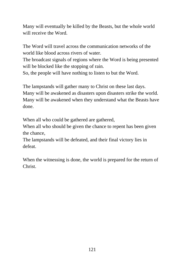Many will eventually be killed by the Beasts, but the whole world will receive the Word.

The Word will travel across the communication networks of the world like blood across rivers of water.

The broadcast signals of regions where the Word is being presented will be blocked like the stopping of rain.

So, the people will have nothing to listen to but the Word.

The lampstands will gather many to Christ on these last days. Many will be awakened as disasters upon disasters strike the world. Many will be awakened when they understand what the Beasts have done.

When all who could be gathered are gathered,

When all who should be given the chance to repent has been given the chance,

The lampstands will be defeated, and their final victory lies in defeat.

When the witnessing is done, the world is prepared for the return of Christ.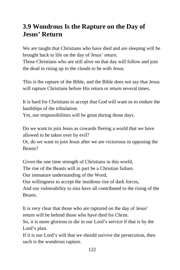## **3.9 Wondrous Is the Rapture on the Day of Jesus' Return**

We are taught that Christians who have died and are sleeping will be brought back to life on the day of Jesus' return.

Those Christians who are still alive on that day will follow and join the dead in rising up to the clouds to be with Jesus.

This is the rapture of the Bible, and the Bible does not say that Jesus will rapture Christians before His return or return several times.

It is hard for Christians to accept that God will want us to endure the hardships of the tribulation.

Yet, our responsibilities will be great during those days.

Do we want to join Jesus as cowards fleeing a world that we have allowed to be taken over by evil?

Or, do we want to join Jesus after we are victorious in opposing the Beasts?

Given the one time strength of Christians in this world, The rise of the Beasts will in part be a Christian failure. Our immature understanding of the Word, Our willingness to accept the insidious rise of dark forces, And our vulnerability to sins have all contributed to the rising of the Beasts.

It is very clear that those who are raptured on the day of Jesus' return will be behind those who have died for Christ.

So, it is more glorious to die in our Lord's service if that is by the Lord's plan.

If it is our Lord's will that we should survive the persecution, then such is the wondrous rapture.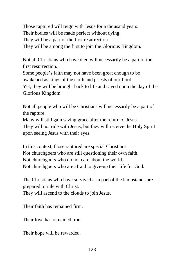Those raptured will reign with Jesus for a thousand years. Their bodies will be made perfect without dying. They will be a part of the first resurrection. They will be among the first to join the Glorious Kingdom.

Not all Christians who have died will necessarily be a part of the first resurrection. Some people's faith may not have been great enough to be awakened as kings of the earth and priests of our Lord. Yet, they will be brought back to life and saved upon the day of the Glorious Kingdom.

Not all people who will be Christians will necessarily be a part of the rapture.

Many will still gain saving grace after the return of Jesus.

They will not rule with Jesus, but they will receive the Holy Spirit upon seeing Jesus with their eyes.

In this context, those raptured are special Christians. Not churchgoers who are still questioning their own faith. Not churchgoers who do not care about the world. Not churchgoers who are afraid to give-up their life for God.

The Christians who have survived as a part of the lampstands are prepared to rule with Christ.

They will ascend to the clouds to join Jesus.

Their faith has remained firm.

Their love has remained true.

Their hope will be rewarded.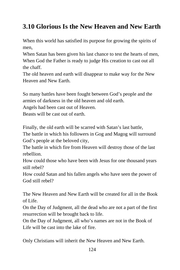# **3.10 Glorious Is the New Heaven and New Earth**

When this world has satisfied its purpose for growing the spirits of men,

When Satan has been given his last chance to test the hearts of men, When God the Father is ready to judge His creation to cast out all the chaff.

The old heaven and earth will disappear to make way for the New Heaven and New Earth.

So many battles have been fought between God's people and the armies of darkness in the old heaven and old earth.

Angels had been cast out of Heaven.

Beasts will be cast out of earth.

Finally, the old earth will be scarred with Satan's last battle,

The battle in which his followers in Gog and Magog will surround God's people at the beloved city,

The battle in which fire from Heaven will destroy those of the last rebellion.

How could those who have been with Jesus for one thousand years still rebel?

How could Satan and his fallen angels who have seen the power of God still rebel?

The New Heaven and New Earth will be created for all in the Book of Life.

On the Day of Judgment, all the dead who are not a part of the first resurrection will be brought back to life.

On the Day of Judgment, all who's names are not in the Book of Life will be cast into the lake of fire.

Only Christians will inherit the New Heaven and New Earth.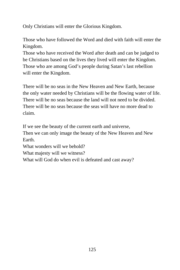Only Christians will enter the Glorious Kingdom.

Those who have followed the Word and died with faith will enter the Kingdom.

Those who have received the Word after death and can be judged to be Christians based on the lives they lived will enter the Kingdom. Those who are among God's people during Satan's last rebellion will enter the Kingdom.

There will be no seas in the New Heaven and New Earth, because the only water needed by Christians will be the flowing water of life. There will be no seas because the land will not need to be divided. There will be no seas because the seas will have no more dead to claim.

If we see the beauty of the current earth and universe,

Then we can only image the beauty of the New Heaven and New Earth.

What wonders will we behold?

What majesty will we witness?

What will God do when evil is defeated and cast away?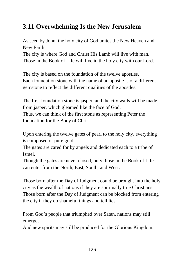# **3.11 Overwhelming Is the New Jerusalem**

As seen by John, the holy city of God unites the New Heaven and New Earth.

The city is where God and Christ His Lamb will live with man. Those in the Book of Life will live in the holy city with our Lord.

The city is based on the foundation of the twelve apostles. Each foundation stone with the name of an apostle is of a different gemstone to reflect the different qualities of the apostles.

The first foundation stone is jasper, and the city walls will be made from jasper, which gleamed like the face of God. Thus, we can think of the first stone as representing Peter the foundation for the Body of Christ.

Upon entering the twelve gates of pearl to the holy city, everything is composed of pure gold.

The gates are cared for by angels and dedicated each to a tribe of Israel.

Though the gates are never closed, only those in the Book of Life can enter from the North, East, South, and West.

Those born after the Day of Judgment could be brought into the holy city as the wealth of nations if they are spiritually true Christians. Those born after the Day of Judgment can be blocked from entering the city if they do shameful things and tell lies.

From God's people that triumphed over Satan, nations may still emerge,

And new spirits may still be produced for the Glorious Kingdom.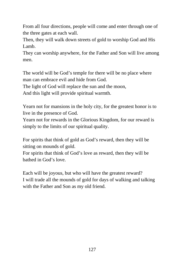From all four directions, people will come and enter through one of the three gates at each wall.

Then, they will walk down streets of gold to worship God and His Lamb.

They can worship anywhere, for the Father and Son will live among men.

The world will be God's temple for there will be no place where man can embrace evil and hide from God.

The light of God will replace the sun and the moon,

And this light will provide spiritual warmth.

Yearn not for mansions in the holy city, for the greatest honor is to live in the presence of God.

Yearn not for rewards in the Glorious Kingdom, for our reward is simply to the limits of our spiritual quality.

For spirits that think of gold as God's reward, then they will be sitting on mounds of gold.

For spirits that think of God's love as reward, then they will be bathed in God's love.

Each will be joyous, but who will have the greatest reward? I will trade all the mounds of gold for days of walking and talking with the Father and Son as my old friend.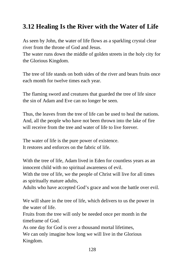# **3.12 Healing Is the River with the Water of Life**

As seen by John, the water of life flows as a sparkling crystal clear river from the throne of God and Jesus.

The water runs down the middle of golden streets in the holy city for the Glorious Kingdom.

The tree of life stands on both sides of the river and bears fruits once each month for twelve times each year.

The flaming sword and creatures that guarded the tree of life since the sin of Adam and Eve can no longer be seen.

Thus, the leaves from the tree of life can be used to heal the nations. And, all the people who have not been thrown into the lake of fire will receive from the tree and water of life to live forever.

The water of life is the pure power of existence. It restores and enforces on the fabric of life.

With the tree of life, Adam lived in Eden for countless years as an innocent child with no spiritual awareness of evil.

With the tree of life, we the people of Christ will live for all times as spiritually mature adults,

Adults who have accepted God's grace and won the battle over evil.

We will share in the tree of life, which delivers to us the power in the water of life.

Fruits from the tree will only be needed once per month in the timeframe of God.

As one day for God is over a thousand mortal lifetimes, We can only imagine how long we will live in the Glorious Kingdom.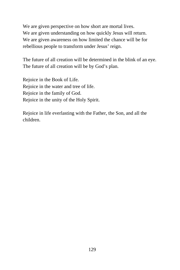We are given perspective on how short are mortal lives. We are given understanding on how quickly Jesus will return. We are given awareness on how limited the chance will be for rebellious people to transform under Jesus' reign.

The future of all creation will be determined in the blink of an eye. The future of all creation will be by God's plan.

Rejoice in the Book of Life. Rejoice in the water and tree of life. Rejoice in the family of God. Rejoice in the unity of the Holy Spirit.

Rejoice in life everlasting with the Father, the Son, and all the children.